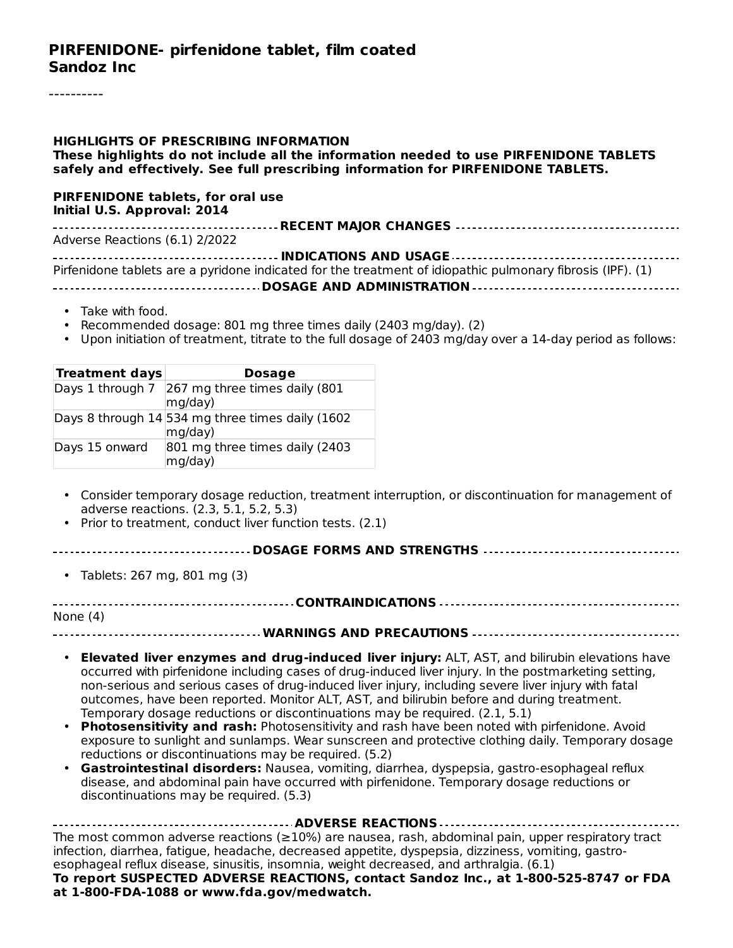#### **PIRFENIDONE- pirfenidone tablet, film coated Sandoz Inc**

#### **HIGHLIGHTS OF PRESCRIBING INFORMATION**

**These highlights do not include all the information needed to use PIRFENIDONE TABLETS safely and effectively. See full prescribing information for PIRFENIDONE TABLETS.**

#### **PIRFENIDONE tablets, for oral use Initial U.S. Approval: 2014**

| Adverse Reactions (6.1) 2/2022 |  |  |  |  |  |
|--------------------------------|--|--|--|--|--|
|                                |  |  |  |  |  |

| Pirfenidone tablets are a pyridone indicated for the treatment of idiopathic pulmonary fibrosis (IPF). (1) |
|------------------------------------------------------------------------------------------------------------|
|                                                                                                            |

- Take with food.
- Recommended dosage: 801 mg three times daily (2403 mg/day). (2)
- Upon initiation of treatment, titrate to the full dosage of 2403 mg/day over a 14-day period as follows:

| <b>Treatment days</b> | <b>Dosage</b>                                               |
|-----------------------|-------------------------------------------------------------|
|                       | Days 1 through 7 267 mg three times daily (801<br>mg/day)   |
|                       | Days 8 through 14 534 mg three times daily (1602<br>mg/day) |
| Days 15 onward        | 801 mg three times daily (2403<br>mg/day)                   |

- Consider temporary dosage reduction, treatment interruption, or discontinuation for management of adverse reactions. (2.3, 5.1, 5.2, 5.3)
- Prior to treatment, conduct liver function tests. (2.1)

#### **DOSAGE FORMS AND STRENGTHS**

• Tablets: 267 mg, 801 mg (3)

**CONTRAINDICATIONS** None (4)

- **WARNINGS AND PRECAUTIONS**
	- **Elevated liver enzymes and drug-induced liver injury:** ALT, AST, and bilirubin elevations have occurred with pirfenidone including cases of drug-induced liver injury. In the postmarketing setting, non-serious and serious cases of drug-induced liver injury, including severe liver injury with fatal outcomes, have been reported. Monitor ALT, AST, and bilirubin before and during treatment. Temporary dosage reductions or discontinuations may be required. (2.1, 5.1)
	- **Photosensitivity and rash:** Photosensitivity and rash have been noted with pirfenidone. Avoid exposure to sunlight and sunlamps. Wear sunscreen and protective clothing daily. Temporary dosage reductions or discontinuations may be required. (5.2)
	- **Gastrointestinal disorders:** Nausea, vomiting, diarrhea, dyspepsia, gastro-esophageal reflux disease, and abdominal pain have occurred with pirfenidone. Temporary dosage reductions or discontinuations may be required. (5.3)

| The most common adverse reactions ( $\geq$ 10%) are nausea, rash, abdominal pain, upper respiratory tract |
|-----------------------------------------------------------------------------------------------------------|
| infection, diarrhea, fatigue, headache, decreased appetite, dyspepsia, dizziness, vomiting, gastro-       |
| esophageal reflux disease, sinusitis, insomnia, weight decreased, and arthralgia. (6.1)                   |
| To report SUSPECTED ADVERSE REACTIONS, contact Sandoz Inc., at 1-800-525-8747 or FDA                      |
| at 1-800-FDA-1088 or www.fda.gov/medwatch.                                                                |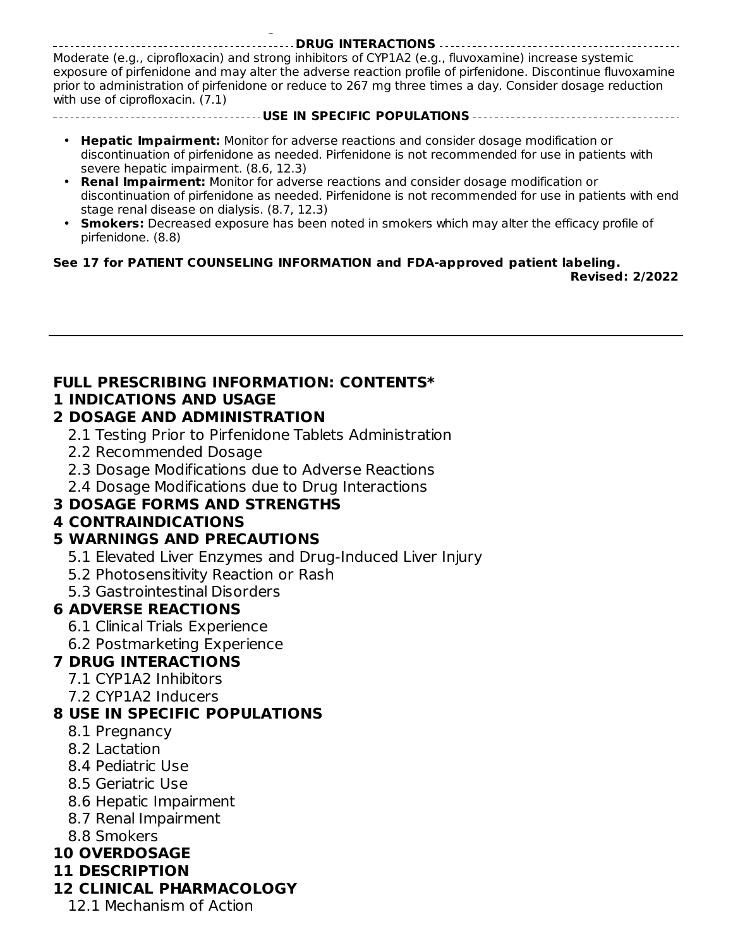#### **DRUG INTERACTIONS**

Moderate (e.g., ciprofloxacin) and strong inhibitors of CYP1A2 (e.g., fluvoxamine) increase systemic exposure of pirfenidone and may alter the adverse reaction profile of pirfenidone. Discontinue fluvoxamine prior to administration of pirfenidone or reduce to 267 mg three times a day. Consider dosage reduction with use of ciprofloxacin. (7.1)

#### **USE IN SPECIFIC POPULATIONS**

- **Hepatic Impairment:** Monitor for adverse reactions and consider dosage modification or discontinuation of pirfenidone as needed. Pirfenidone is not recommended for use in patients with severe hepatic impairment. (8.6, 12.3)
- **Renal Impairment:** Monitor for adverse reactions and consider dosage modification or discontinuation of pirfenidone as needed. Pirfenidone is not recommended for use in patients with end stage renal disease on dialysis. (8.7, 12.3)
- **Smokers:** Decreased exposure has been noted in smokers which may alter the efficacy profile of pirfenidone. (8.8)

#### **See 17 for PATIENT COUNSELING INFORMATION and FDA-approved patient labeling.**

**Revised: 2/2022**

#### **FULL PRESCRIBING INFORMATION: CONTENTS\* 1 INDICATIONS AND USAGE**

#### **2 DOSAGE AND ADMINISTRATION**

**at 1-800-FDA-1088 or www.fda.gov/medwatch.**

- 2.1 Testing Prior to Pirfenidone Tablets Administration
- 2.2 Recommended Dosage
- 2.3 Dosage Modifications due to Adverse Reactions
- 2.4 Dosage Modifications due to Drug Interactions

### **3 DOSAGE FORMS AND STRENGTHS**

### **4 CONTRAINDICATIONS**

### **5 WARNINGS AND PRECAUTIONS**

- 5.1 Elevated Liver Enzymes and Drug-Induced Liver Injury
- 5.2 Photosensitivity Reaction or Rash
- 5.3 Gastrointestinal Disorders

### **6 ADVERSE REACTIONS**

- 6.1 Clinical Trials Experience
- 6.2 Postmarketing Experience

#### **7 DRUG INTERACTIONS**

- 7.1 CYP1A2 Inhibitors
- 7.2 CYP1A2 Inducers

#### **8 USE IN SPECIFIC POPULATIONS**

- 8.1 Pregnancy
- 8.2 Lactation
- 8.4 Pediatric Use
- 8.5 Geriatric Use
- 8.6 Hepatic Impairment
- 8.7 Renal Impairment
- 8.8 Smokers

### **10 OVERDOSAGE**

**11 DESCRIPTION**

### **12 CLINICAL PHARMACOLOGY**

12.1 Mechanism of Action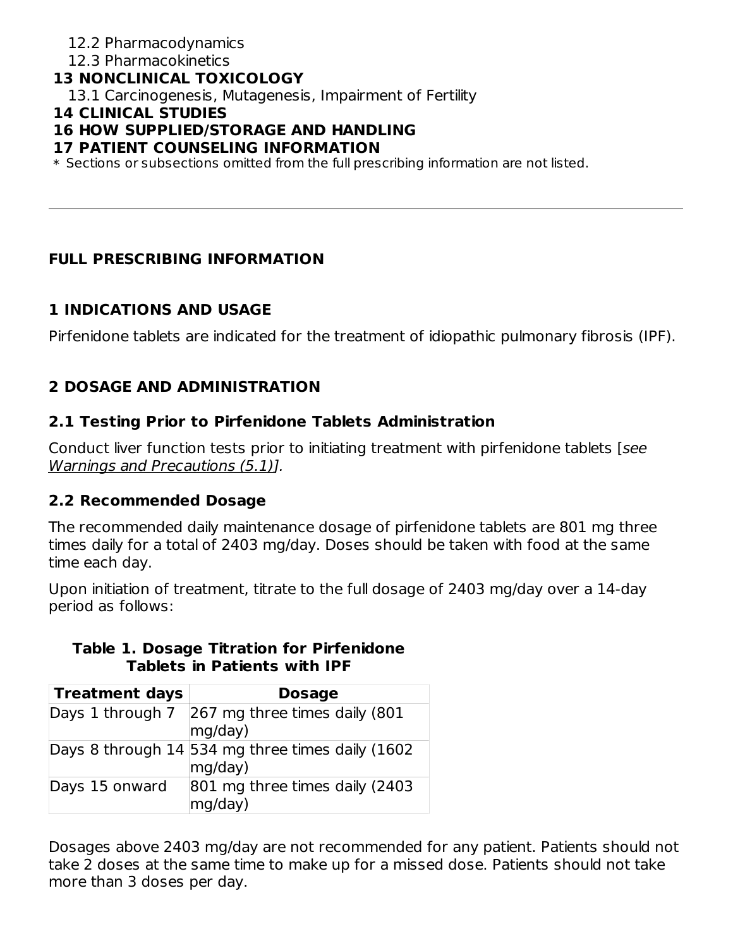### 12.2 Pharmacodynamics

#### 12.3 Pharmacokinetics

#### **13 NONCLINICAL TOXICOLOGY**

13.1 Carcinogenesis, Mutagenesis, Impairment of Fertility

#### **14 CLINICAL STUDIES**

#### **16 HOW SUPPLIED/STORAGE AND HANDLING**

#### **17 PATIENT COUNSELING INFORMATION**

 $\ast$  Sections or subsections omitted from the full prescribing information are not listed.

#### **FULL PRESCRIBING INFORMATION**

#### **1 INDICATIONS AND USAGE**

Pirfenidone tablets are indicated for the treatment of idiopathic pulmonary fibrosis (IPF).

## **2 DOSAGE AND ADMINISTRATION**

#### **2.1 Testing Prior to Pirfenidone Tablets Administration**

Conduct liver function tests prior to initiating treatment with pirfenidone tablets [see Warnings and Precautions (5.1)].

#### **2.2 Recommended Dosage**

The recommended daily maintenance dosage of pirfenidone tablets are 801 mg three times daily for a total of 2403 mg/day. Doses should be taken with food at the same time each day.

Upon initiation of treatment, titrate to the full dosage of 2403 mg/day over a 14-day period as follows:

| <b>Treatment days</b> | <b>Dosage</b>                                               |
|-----------------------|-------------------------------------------------------------|
| Days 1 through 7      | 267 mg three times daily (801<br>mq/day)                    |
|                       | Days 8 through 14 534 mg three times daily (1602<br>mg/day) |
| Days 15 onward        | 801 mg three times daily (2403<br>mg/day)                   |

#### **Table 1. Dosage Titration for Pirfenidone Tablets in Patients with IPF**

Dosages above 2403 mg/day are not recommended for any patient. Patients should not take 2 doses at the same time to make up for a missed dose. Patients should not take more than 3 doses per day.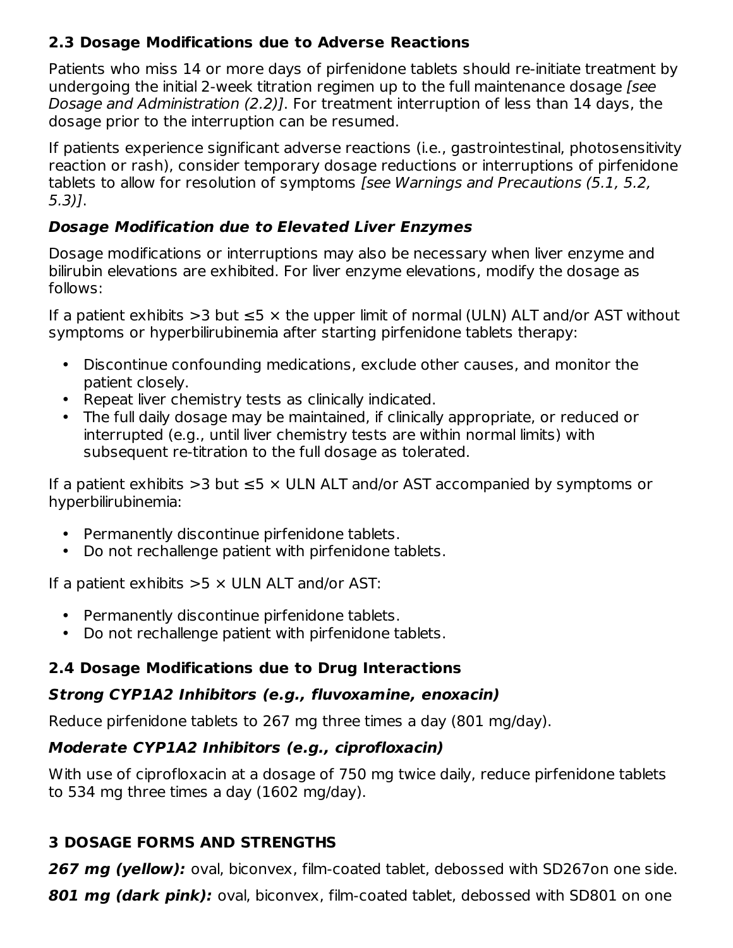### **2.3 Dosage Modifications due to Adverse Reactions**

Patients who miss 14 or more days of pirfenidone tablets should re-initiate treatment by undergoing the initial 2-week titration regimen up to the full maintenance dosage [see Dosage and Administration (2.2)]. For treatment interruption of less than 14 days, the dosage prior to the interruption can be resumed.

If patients experience significant adverse reactions (i.e., gastrointestinal, photosensitivity reaction or rash), consider temporary dosage reductions or interruptions of pirfenidone tablets to allow for resolution of symptoms [see Warnings and Precautions (5.1, 5.2, 5.3)].

## **Dosage Modification due to Elevated Liver Enzymes**

Dosage modifications or interruptions may also be necessary when liver enzyme and bilirubin elevations are exhibited. For liver enzyme elevations, modify the dosage as follows:

If a patient exhibits  $>3$  but  $\leq 5 \times$  the upper limit of normal (ULN) ALT and/or AST without symptoms or hyperbilirubinemia after starting pirfenidone tablets therapy:

- Discontinue confounding medications, exclude other causes, and monitor the patient closely.
- Repeat liver chemistry tests as clinically indicated.
- The full daily dosage may be maintained, if clinically appropriate, or reduced or interrupted (e.g., until liver chemistry tests are within normal limits) with subsequent re-titration to the full dosage as tolerated.

If a patient exhibits >3 but  $\leq$ 5  $\times$  ULN ALT and/or AST accompanied by symptoms or hyperbilirubinemia:

- Permanently discontinue pirfenidone tablets.
- Do not rechallenge patient with pirfenidone tablets.

If a patient exhibits  $>5 \times$  ULN ALT and/or AST:

- Permanently discontinue pirfenidone tablets.
- Do not rechallenge patient with pirfenidone tablets.

## **2.4 Dosage Modifications due to Drug Interactions**

## **Strong CYP1A2 Inhibitors (e.g., fluvoxamine, enoxacin)**

Reduce pirfenidone tablets to 267 mg three times a day (801 mg/day).

## **Moderate CYP1A2 Inhibitors (e.g., ciprofloxacin)**

With use of ciprofloxacin at a dosage of 750 mg twice daily, reduce pirfenidone tablets to 534 mg three times a day (1602 mg/day).

# **3 DOSAGE FORMS AND STRENGTHS**

**267 mg (yellow):** oval, biconvex, film-coated tablet, debossed with SD267on one side.

**801 mg (dark pink):** oval, biconvex, film-coated tablet, debossed with SD801 on one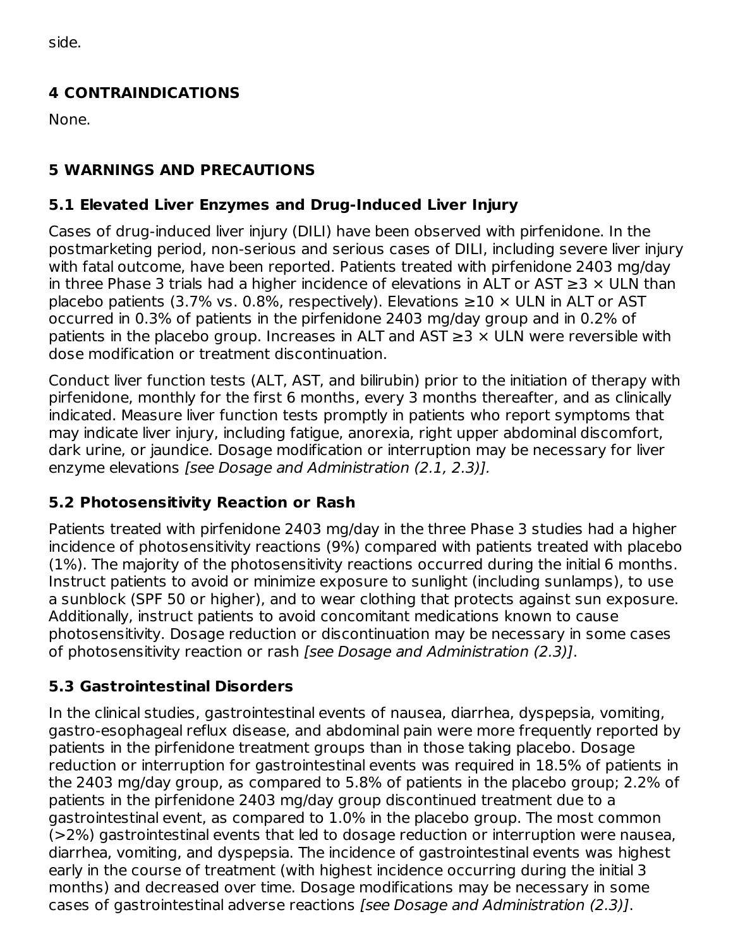side.

## **4 CONTRAINDICATIONS**

None.

## **5 WARNINGS AND PRECAUTIONS**

## **5.1 Elevated Liver Enzymes and Drug-Induced Liver Injury**

Cases of drug-induced liver injury (DILI) have been observed with pirfenidone. In the postmarketing period, non-serious and serious cases of DILI, including severe liver injury with fatal outcome, have been reported. Patients treated with pirfenidone 2403 mg/day in three Phase 3 trials had a higher incidence of elevations in ALT or AST ≥3  $\times$  ULN than placebo patients (3.7% vs. 0.8%, respectively). Elevations  $≥10 \times ULN$  in ALT or AST occurred in 0.3% of patients in the pirfenidone 2403 mg/day group and in 0.2% of patients in the placebo group. Increases in ALT and AST  $\geq$ 3  $\times$  ULN were reversible with dose modification or treatment discontinuation.

Conduct liver function tests (ALT, AST, and bilirubin) prior to the initiation of therapy with pirfenidone, monthly for the first 6 months, every 3 months thereafter, and as clinically indicated. Measure liver function tests promptly in patients who report symptoms that may indicate liver injury, including fatigue, anorexia, right upper abdominal discomfort, dark urine, or jaundice. Dosage modification or interruption may be necessary for liver enzyme elevations [see Dosage and Administration (2.1, 2.3)].

## **5.2 Photosensitivity Reaction or Rash**

Patients treated with pirfenidone 2403 mg/day in the three Phase 3 studies had a higher incidence of photosensitivity reactions (9%) compared with patients treated with placebo (1%). The majority of the photosensitivity reactions occurred during the initial 6 months. Instruct patients to avoid or minimize exposure to sunlight (including sunlamps), to use a sunblock (SPF 50 or higher), and to wear clothing that protects against sun exposure. Additionally, instruct patients to avoid concomitant medications known to cause photosensitivity. Dosage reduction or discontinuation may be necessary in some cases of photosensitivity reaction or rash [see Dosage and Administration (2.3)].

## **5.3 Gastrointestinal Disorders**

In the clinical studies, gastrointestinal events of nausea, diarrhea, dyspepsia, vomiting, gastro-esophageal reflux disease, and abdominal pain were more frequently reported by patients in the pirfenidone treatment groups than in those taking placebo. Dosage reduction or interruption for gastrointestinal events was required in 18.5% of patients in the 2403 mg/day group, as compared to 5.8% of patients in the placebo group; 2.2% of patients in the pirfenidone 2403 mg/day group discontinued treatment due to a gastrointestinal event, as compared to 1.0% in the placebo group. The most common (>2%) gastrointestinal events that led to dosage reduction or interruption were nausea, diarrhea, vomiting, and dyspepsia. The incidence of gastrointestinal events was highest early in the course of treatment (with highest incidence occurring during the initial 3 months) and decreased over time. Dosage modifications may be necessary in some cases of gastrointestinal adverse reactions [see Dosage and Administration (2.3)].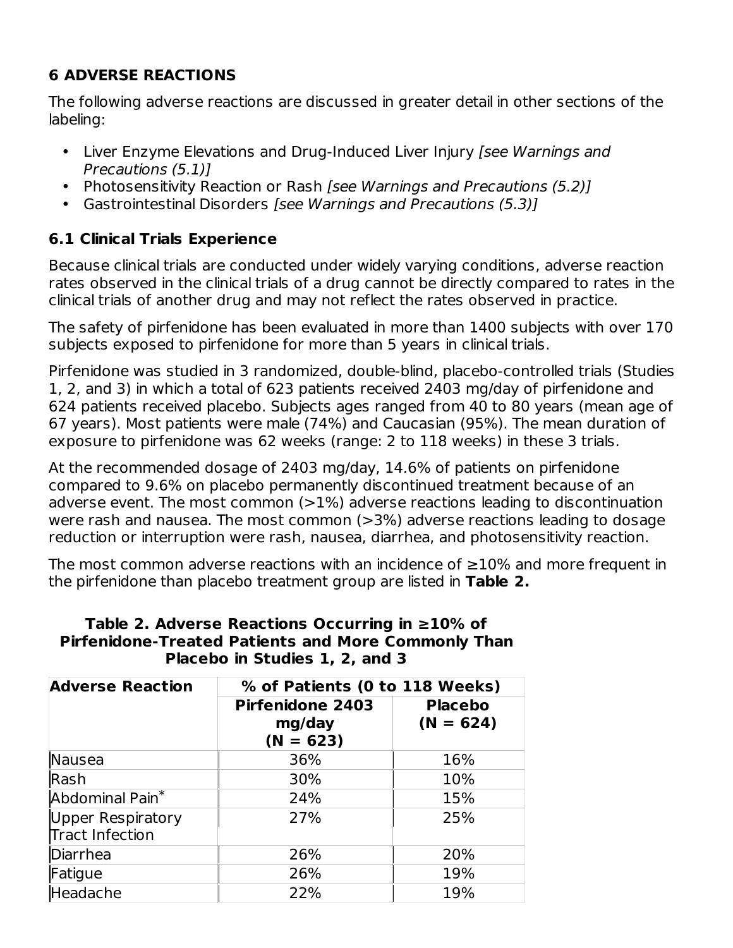## **6 ADVERSE REACTIONS**

The following adverse reactions are discussed in greater detail in other sections of the labeling:

- Liver Enzyme Elevations and Drug-Induced Liver Injury [see Warnings and Precautions (5.1)]
- Photosensitivity Reaction or Rash [see Warnings and Precautions (5.2)]
- Gastrointestinal Disorders [see Warnings and Precautions (5.3)]

## **6.1 Clinical Trials Experience**

Because clinical trials are conducted under widely varying conditions, adverse reaction rates observed in the clinical trials of a drug cannot be directly compared to rates in the clinical trials of another drug and may not reflect the rates observed in practice.

The safety of pirfenidone has been evaluated in more than 1400 subjects with over 170 subjects exposed to pirfenidone for more than 5 years in clinical trials.

Pirfenidone was studied in 3 randomized, double-blind, placebo-controlled trials (Studies 1, 2, and 3) in which a total of 623 patients received 2403 mg/day of pirfenidone and 624 patients received placebo. Subjects ages ranged from 40 to 80 years (mean age of 67 years). Most patients were male (74%) and Caucasian (95%). The mean duration of exposure to pirfenidone was 62 weeks (range: 2 to 118 weeks) in these 3 trials.

At the recommended dosage of 2403 mg/day, 14.6% of patients on pirfenidone compared to 9.6% on placebo permanently discontinued treatment because of an adverse event. The most common (>1%) adverse reactions leading to discontinuation were rash and nausea. The most common (>3%) adverse reactions leading to dosage reduction or interruption were rash, nausea, diarrhea, and photosensitivity reaction.

The most common adverse reactions with an incidence of ≥10% and more frequent in the pirfenidone than placebo treatment group are listed in **Table 2.**

#### **Table 2. Adverse Reactions Occurring in ≥10% of Pirfenidone-Treated Patients and More Commonly Than Placebo in Studies 1, 2, and 3**

| <b>Adverse Reaction</b>              | % of Patients (0 to 118 Weeks)                   |                               |  |  |  |
|--------------------------------------|--------------------------------------------------|-------------------------------|--|--|--|
|                                      | <b>Pirfenidone 2403</b><br>mg/day<br>$(N = 623)$ | <b>Placebo</b><br>$(N = 624)$ |  |  |  |
| Nausea                               | 36%                                              | 16%                           |  |  |  |
| Rash                                 | 30%                                              | 10%                           |  |  |  |
| Abdominal Pain <sup>*</sup>          | 24%                                              | 15%                           |  |  |  |
| Upper Respiratory<br>Tract Infection | 27%                                              | 25%                           |  |  |  |
| Diarrhea                             | 26%                                              | 20%                           |  |  |  |
| Fatigue                              | 26%                                              | 19%                           |  |  |  |
| Headache                             | 22%                                              | 19%                           |  |  |  |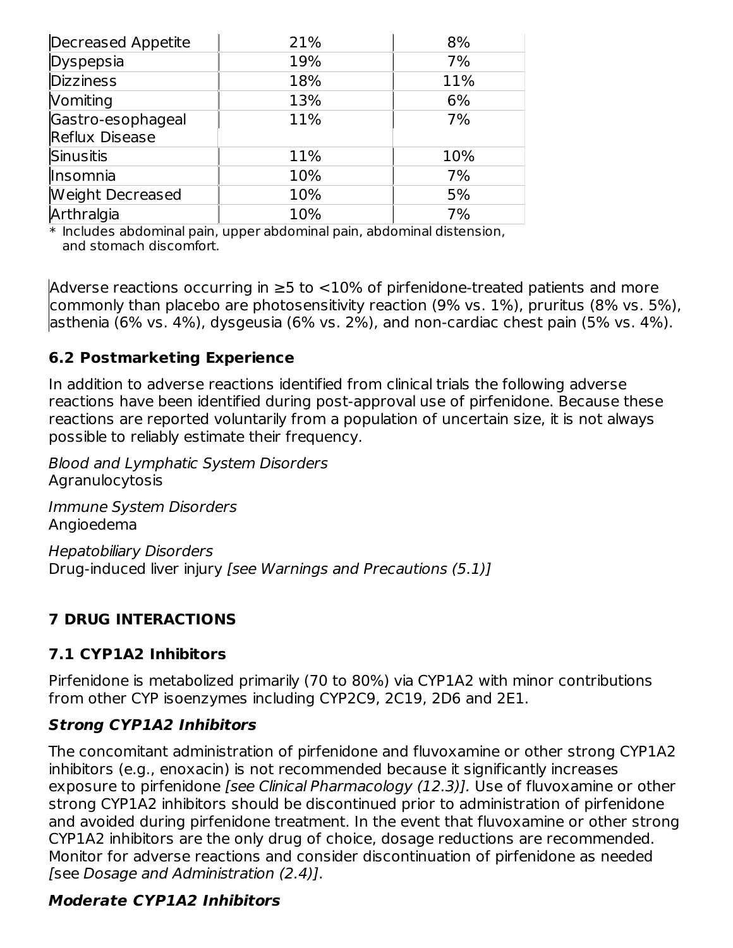| Decreased Appetite | 21% | 8%  |  |
|--------------------|-----|-----|--|
| Dyspepsia          | 19% | 7%  |  |
| <b>Dizziness</b>   | 18% | 11% |  |
| <b>Vomiting</b>    | 13% | 6%  |  |
| Gastro-esophageal  | 11% | 7%  |  |
| Reflux Disease     |     |     |  |
| Sinusitis          | 11% | 10% |  |
| Insomnia           | 10% | 7%  |  |
| Weight Decreased   | 10% | 5%  |  |
| Arthralgia         | 10% | 7%  |  |

 $\ast$  Includes abdominal pain, upper abdominal pain, abdominal distension, and stomach discomfort.

Adverse reactions occurring in ≥5 to <10% of pirfenidone-treated patients and more commonly than placebo are photosensitivity reaction (9% vs. 1%), pruritus (8% vs. 5%), asthenia (6% vs. 4%), dysgeusia (6% vs. 2%), and non-cardiac chest pain (5% vs. 4%).

## **6.2 Postmarketing Experience**

In addition to adverse reactions identified from clinical trials the following adverse reactions have been identified during post-approval use of pirfenidone. Because these reactions are reported voluntarily from a population of uncertain size, it is not always possible to reliably estimate their frequency.

Blood and Lymphatic System Disorders Agranulocytosis

Immune System Disorders Angioedema

Hepatobiliary Disorders Drug-induced liver injury [see Warnings and Precautions (5.1)]

### **7 DRUG INTERACTIONS**

## **7.1 CYP1A2 Inhibitors**

Pirfenidone is metabolized primarily (70 to 80%) via CYP1A2 with minor contributions from other CYP isoenzymes including CYP2C9, 2C19, 2D6 and 2E1.

### **Strong CYP1A2 Inhibitors**

The concomitant administration of pirfenidone and fluvoxamine or other strong CYP1A2 inhibitors (e.g., enoxacin) is not recommended because it significantly increases exposure to pirfenidone [see Clinical Pharmacology (12.3)]. Use of fluvoxamine or other strong CYP1A2 inhibitors should be discontinued prior to administration of pirfenidone and avoided during pirfenidone treatment. In the event that fluvoxamine or other strong CYP1A2 inhibitors are the only drug of choice, dosage reductions are recommended. Monitor for adverse reactions and consider discontinuation of pirfenidone as needed [see Dosage and Administration (2.4)].

### **Moderate CYP1A2 Inhibitors**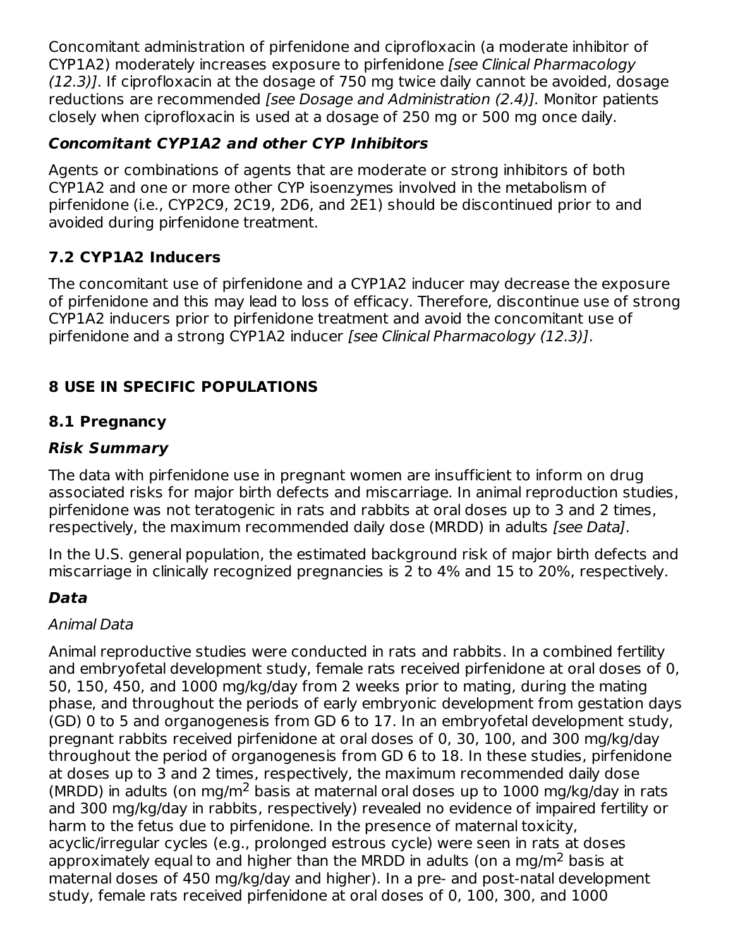Concomitant administration of pirfenidone and ciprofloxacin (a moderate inhibitor of CYP1A2) moderately increases exposure to pirfenidone [see Clinical Pharmacology (12.3)]. If ciprofloxacin at the dosage of 750 mg twice daily cannot be avoided, dosage reductions are recommended [see Dosage and Administration (2.4)]. Monitor patients closely when ciprofloxacin is used at a dosage of 250 mg or 500 mg once daily.

## **Concomitant CYP1A2 and other CYP Inhibitors**

Agents or combinations of agents that are moderate or strong inhibitors of both CYP1A2 and one or more other CYP isoenzymes involved in the metabolism of pirfenidone (i.e., CYP2C9, 2C19, 2D6, and 2E1) should be discontinued prior to and avoided during pirfenidone treatment.

## **7.2 CYP1A2 Inducers**

The concomitant use of pirfenidone and a CYP1A2 inducer may decrease the exposure of pirfenidone and this may lead to loss of efficacy. Therefore, discontinue use of strong CYP1A2 inducers prior to pirfenidone treatment and avoid the concomitant use of pirfenidone and a strong CYP1A2 inducer [see Clinical Pharmacology (12.3)].

## **8 USE IN SPECIFIC POPULATIONS**

### **8.1 Pregnancy**

#### **Risk Summary**

The data with pirfenidone use in pregnant women are insufficient to inform on drug associated risks for major birth defects and miscarriage. In animal reproduction studies, pirfenidone was not teratogenic in rats and rabbits at oral doses up to 3 and 2 times, respectively, the maximum recommended daily dose (MRDD) in adults [see Data].

In the U.S. general population, the estimated background risk of major birth defects and miscarriage in clinically recognized pregnancies is 2 to 4% and 15 to 20%, respectively.

## **Data**

### Animal Data

Animal reproductive studies were conducted in rats and rabbits. In a combined fertility and embryofetal development study, female rats received pirfenidone at oral doses of 0, 50, 150, 450, and 1000 mg/kg/day from 2 weeks prior to mating, during the mating phase, and throughout the periods of early embryonic development from gestation days (GD) 0 to 5 and organogenesis from GD 6 to 17. In an embryofetal development study, pregnant rabbits received pirfenidone at oral doses of 0, 30, 100, and 300 mg/kg/day throughout the period of organogenesis from GD 6 to 18. In these studies, pirfenidone at doses up to 3 and 2 times, respectively, the maximum recommended daily dose (MRDD) in adults (on mg/m<sup>2</sup> basis at maternal oral doses up to 1000 mg/kg/day in rats and 300 mg/kg/day in rabbits, respectively) revealed no evidence of impaired fertility or harm to the fetus due to pirfenidone. In the presence of maternal toxicity, acyclic/irregular cycles (e.g., prolonged estrous cycle) were seen in rats at doses approximately equal to and higher than the MRDD in adults (on a mg/m<sup>2</sup> basis at maternal doses of 450 mg/kg/day and higher). In a pre- and post-natal development study, female rats received pirfenidone at oral doses of 0, 100, 300, and 1000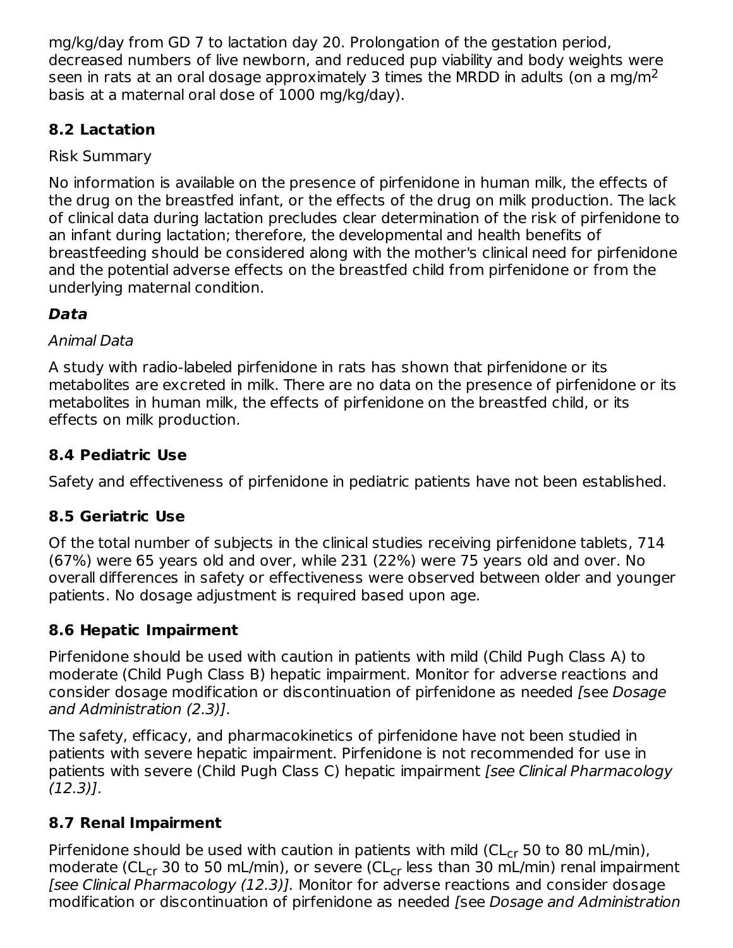mg/kg/day from GD 7 to lactation day 20. Prolongation of the gestation period, decreased numbers of live newborn, and reduced pup viability and body weights were seen in rats at an oral dosage approximately 3 times the MRDD in adults (on a mg/m $^2$ basis at a maternal oral dose of 1000 mg/kg/day).

## **8.2 Lactation**

## Risk Summary

No information is available on the presence of pirfenidone in human milk, the effects of the drug on the breastfed infant, or the effects of the drug on milk production. The lack of clinical data during lactation precludes clear determination of the risk of pirfenidone to an infant during lactation; therefore, the developmental and health benefits of breastfeeding should be considered along with the mother's clinical need for pirfenidone and the potential adverse effects on the breastfed child from pirfenidone or from the underlying maternal condition.

## **Data**

### Animal Data

A study with radio-labeled pirfenidone in rats has shown that pirfenidone or its metabolites are excreted in milk. There are no data on the presence of pirfenidone or its metabolites in human milk, the effects of pirfenidone on the breastfed child, or its effects on milk production.

## **8.4 Pediatric Use**

Safety and effectiveness of pirfenidone in pediatric patients have not been established.

## **8.5 Geriatric Use**

Of the total number of subjects in the clinical studies receiving pirfenidone tablets, 714 (67%) were 65 years old and over, while 231 (22%) were 75 years old and over. No overall differences in safety or effectiveness were observed between older and younger patients. No dosage adjustment is required based upon age.

## **8.6 Hepatic Impairment**

Pirfenidone should be used with caution in patients with mild (Child Pugh Class A) to moderate (Child Pugh Class B) hepatic impairment. Monitor for adverse reactions and consider dosage modification or discontinuation of pirfenidone as needed (see Dosage and Administration (2.3)].

The safety, efficacy, and pharmacokinetics of pirfenidone have not been studied in patients with severe hepatic impairment. Pirfenidone is not recommended for use in patients with severe (Child Pugh Class C) hepatic impairment [see Clinical Pharmacology (12.3)].

## **8.7 Renal Impairment**

Pirfenidone should be used with caution in patients with mild ( $CL_{cr}$  50 to 80 mL/min), moderate (CL<sub>cr</sub> 30 to 50 mL/min), or severe (CL<sub>cr</sub> less than 30 mL/min) renal impairment [see Clinical Pharmacology (12.3)]. Monitor for adverse reactions and consider dosage modification or discontinuation of pirfenidone as needed [see Dosage and Administration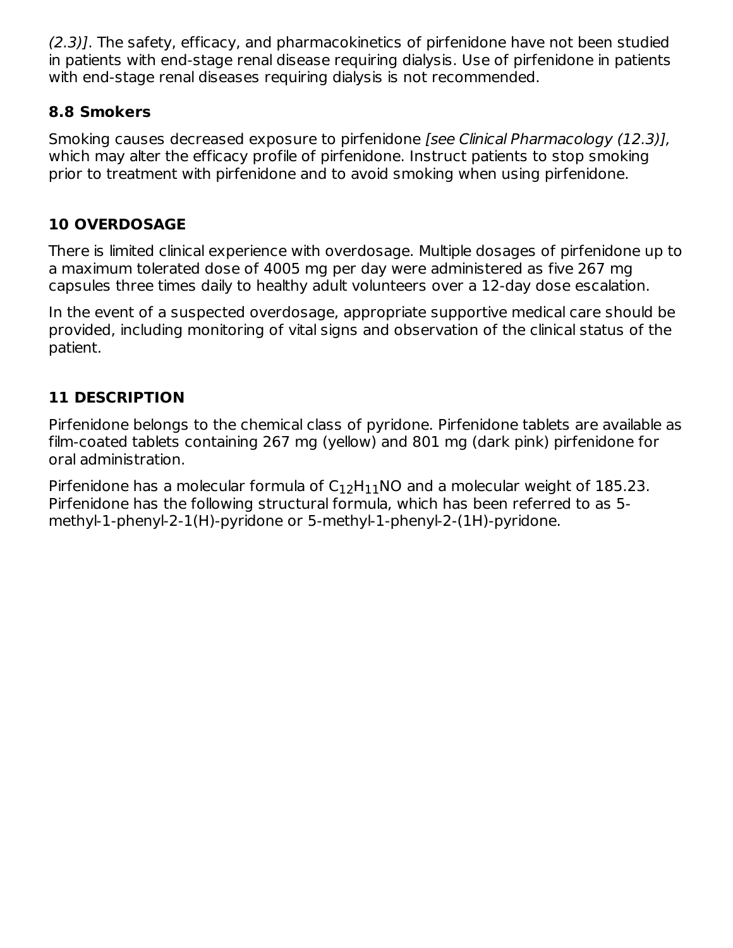(2.3)]. The safety, efficacy, and pharmacokinetics of pirfenidone have not been studied in patients with end-stage renal disease requiring dialysis. Use of pirfenidone in patients with end-stage renal diseases requiring dialysis is not recommended.

### **8.8 Smokers**

Smoking causes decreased exposure to pirfenidone [see Clinical Pharmacology (12.3)], which may alter the efficacy profile of pirfenidone. Instruct patients to stop smoking prior to treatment with pirfenidone and to avoid smoking when using pirfenidone.

## **10 OVERDOSAGE**

There is limited clinical experience with overdosage. Multiple dosages of pirfenidone up to a maximum tolerated dose of 4005 mg per day were administered as five 267 mg capsules three times daily to healthy adult volunteers over a 12-day dose escalation.

In the event of a suspected overdosage, appropriate supportive medical care should be provided, including monitoring of vital signs and observation of the clinical status of the patient.

## **11 DESCRIPTION**

Pirfenidone belongs to the chemical class of pyridone. Pirfenidone tablets are available as film-coated tablets containing 267 mg (yellow) and 801 mg (dark pink) pirfenidone for oral administration.

Pirfenidone has a molecular formula of  $C_{12}H_{11}$ NO and a molecular weight of 185.23. Pirfenidone has the following structural formula, which has been referred to as 5 methyl-1-phenyl-2-1(H)-pyridone or 5-methyl-1-phenyl-2-(1H)-pyridone.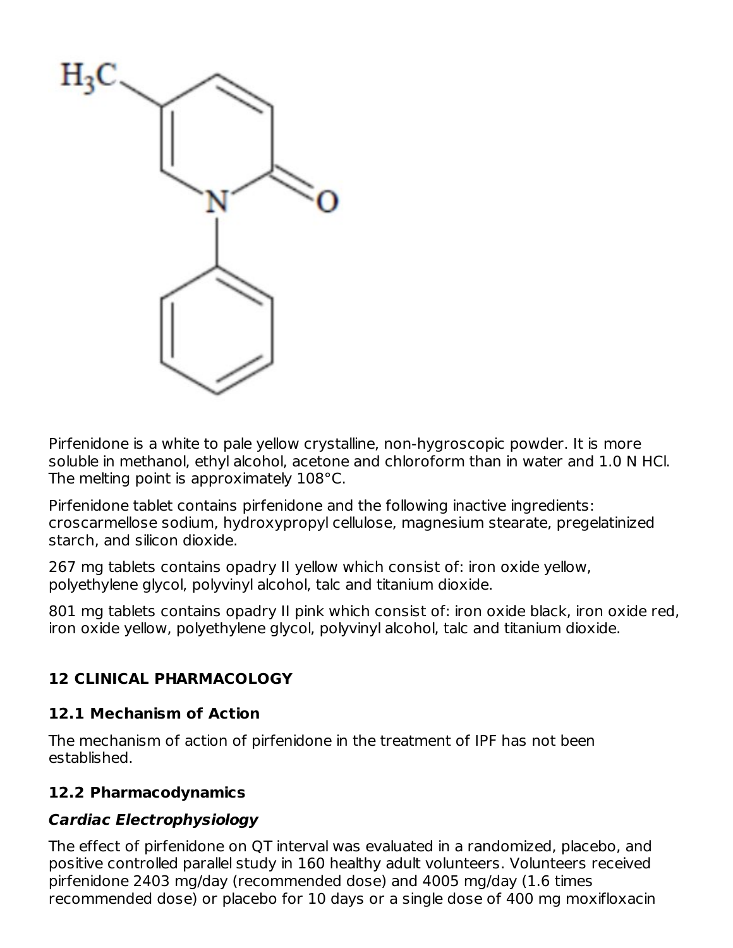

Pirfenidone is a white to pale yellow crystalline, non-hygroscopic powder. It is more soluble in methanol, ethyl alcohol, acetone and chloroform than in water and 1.0 N HCl. The melting point is approximately 108°C.

Pirfenidone tablet contains pirfenidone and the following inactive ingredients: croscarmellose sodium, hydroxypropyl cellulose, magnesium stearate, pregelatinized starch, and silicon dioxide.

267 mg tablets contains opadry II yellow which consist of: iron oxide yellow, polyethylene glycol, polyvinyl alcohol, talc and titanium dioxide.

801 mg tablets contains opadry II pink which consist of: iron oxide black, iron oxide red, iron oxide yellow, polyethylene glycol, polyvinyl alcohol, talc and titanium dioxide.

## **12 CLINICAL PHARMACOLOGY**

#### **12.1 Mechanism of Action**

The mechanism of action of pirfenidone in the treatment of IPF has not been established.

### **12.2 Pharmacodynamics**

### **Cardiac Electrophysiology**

The effect of pirfenidone on QT interval was evaluated in a randomized, placebo, and positive controlled parallel study in 160 healthy adult volunteers. Volunteers received pirfenidone 2403 mg/day (recommended dose) and 4005 mg/day (1.6 times recommended dose) or placebo for 10 days or a single dose of 400 mg moxifloxacin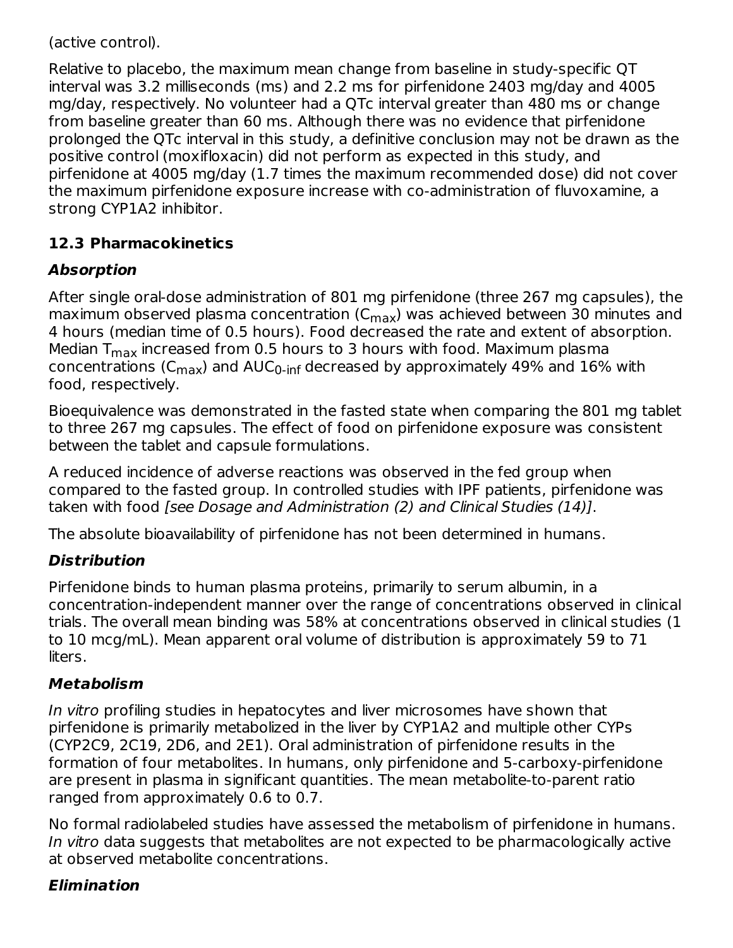(active control).

Relative to placebo, the maximum mean change from baseline in study-specific QT interval was 3.2 milliseconds (ms) and 2.2 ms for pirfenidone 2403 mg/day and 4005 mg/day, respectively. No volunteer had a QTc interval greater than 480 ms or change from baseline greater than 60 ms. Although there was no evidence that pirfenidone prolonged the QTc interval in this study, a definitive conclusion may not be drawn as the positive control (moxifloxacin) did not perform as expected in this study, and pirfenidone at 4005 mg/day (1.7 times the maximum recommended dose) did not cover the maximum pirfenidone exposure increase with co-administration of fluvoxamine, a strong CYP1A2 inhibitor.

## **12.3 Pharmacokinetics**

## **Absorption**

After single oral-dose administration of 801 mg pirfenidone (three 267 mg capsules), the maximum observed plasma concentration (C<sub>max</sub>) was achieved between 30 minutes and 4 hours (median time of 0.5 hours). Food decreased the rate and extent of absorption. Median T $_{\sf max}$  increased from 0.5 hours to 3 hours with food. Maximum plasma concentrations (C $_{\sf max}$ ) and AUC $_{\sf 0\text{-}inf}$  decreased by approximately 49% and 16% with food, respectively.

Bioequivalence was demonstrated in the fasted state when comparing the 801 mg tablet to three 267 mg capsules. The effect of food on pirfenidone exposure was consistent between the tablet and capsule formulations.

A reduced incidence of adverse reactions was observed in the fed group when compared to the fasted group. In controlled studies with IPF patients, pirfenidone was taken with food [see Dosage and Administration (2) and Clinical Studies (14)].

The absolute bioavailability of pirfenidone has not been determined in humans.

# **Distribution**

Pirfenidone binds to human plasma proteins, primarily to serum albumin, in a concentration-independent manner over the range of concentrations observed in clinical trials. The overall mean binding was 58% at concentrations observed in clinical studies (1 to 10 mcg/mL). Mean apparent oral volume of distribution is approximately 59 to 71 liters.

## **Metabolism**

In vitro profiling studies in hepatocytes and liver microsomes have shown that pirfenidone is primarily metabolized in the liver by CYP1A2 and multiple other CYPs (CYP2C9, 2C19, 2D6, and 2E1). Oral administration of pirfenidone results in the formation of four metabolites. In humans, only pirfenidone and 5-carboxy-pirfenidone are present in plasma in significant quantities. The mean metabolite-to-parent ratio ranged from approximately 0.6 to 0.7.

No formal radiolabeled studies have assessed the metabolism of pirfenidone in humans. In vitro data suggests that metabolites are not expected to be pharmacologically active at observed metabolite concentrations.

# **Elimination**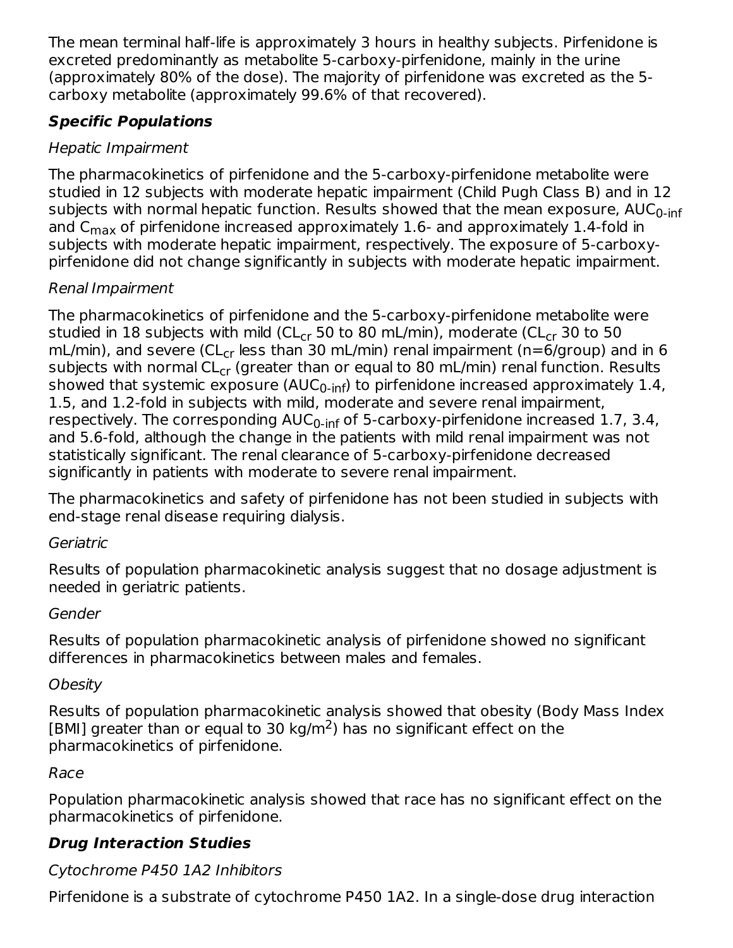The mean terminal half-life is approximately 3 hours in healthy subjects. Pirfenidone is excreted predominantly as metabolite 5-carboxy-pirfenidone, mainly in the urine (approximately 80% of the dose). The majority of pirfenidone was excreted as the 5 carboxy metabolite (approximately 99.6% of that recovered).

## **Specific Populations**

## Hepatic Impairment

The pharmacokinetics of pirfenidone and the 5-carboxy-pirfenidone metabolite were studied in 12 subjects with moderate hepatic impairment (Child Pugh Class B) and in 12 subjects with normal hepatic function. Results showed that the mean exposure, AUC<sub>0-inf</sub> and C $_{\sf max}$  of pirfenidone increased approximately 1.6- and approximately 1.4-fold in subjects with moderate hepatic impairment, respectively. The exposure of 5-carboxypirfenidone did not change significantly in subjects with moderate hepatic impairment.

## Renal Impairment

The pharmacokinetics of pirfenidone and the 5-carboxy-pirfenidone metabolite were studied in 18 subjects with mild (CL<sub>cr</sub> 50 to 80 mL/min), moderate (CL<sub>cr</sub> 30 to 50 mL/min), and severe (CL<sub>cr</sub> less than 30 mL/min) renal impairment (n=6/group) and in 6 subjects with normal CL<sub>cr</sub> (greater than or equal to 80 mL/min) renal function. Results showed that systemic exposure (AUC<sub>0-inf</sub>) to pirfenidone increased approximately 1.4, 1.5, and 1.2-fold in subjects with mild, moderate and severe renal impairment, respectively. The corresponding AUC<sub>0-inf</sub> of 5-carboxy-pirfenidone increased 1.7, 3.4, and 5.6-fold, although the change in the patients with mild renal impairment was not statistically significant. The renal clearance of 5-carboxy-pirfenidone decreased significantly in patients with moderate to severe renal impairment.

The pharmacokinetics and safety of pirfenidone has not been studied in subjects with end-stage renal disease requiring dialysis.

## Geriatric

Results of population pharmacokinetic analysis suggest that no dosage adjustment is needed in geriatric patients.

## Gender

Results of population pharmacokinetic analysis of pirfenidone showed no significant differences in pharmacokinetics between males and females.

# **Obesity**

Results of population pharmacokinetic analysis showed that obesity (Body Mass Index [BMI] greater than or equal to 30 kg/m<sup>2</sup>) has no significant effect on the pharmacokinetics of pirfenidone.

# Race

Population pharmacokinetic analysis showed that race has no significant effect on the pharmacokinetics of pirfenidone.

# **Drug Interaction Studies**

# Cytochrome P450 1A2 Inhibitors

Pirfenidone is a substrate of cytochrome P450 1A2. In a single-dose drug interaction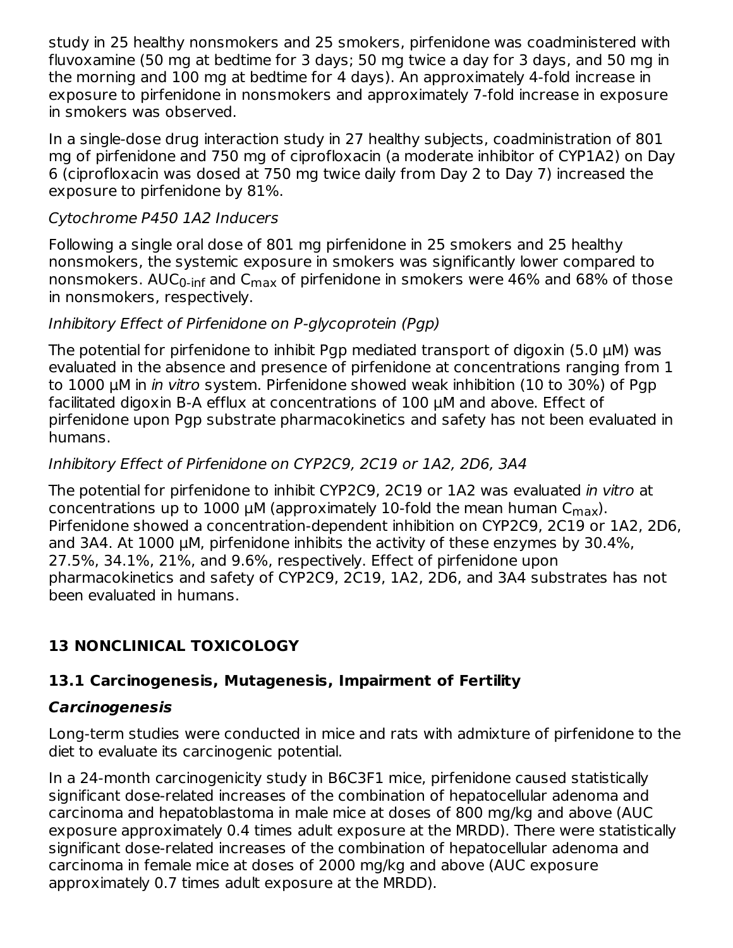study in 25 healthy nonsmokers and 25 smokers, pirfenidone was coadministered with fluvoxamine (50 mg at bedtime for 3 days; 50 mg twice a day for 3 days, and 50 mg in the morning and 100 mg at bedtime for 4 days). An approximately 4-fold increase in exposure to pirfenidone in nonsmokers and approximately 7-fold increase in exposure in smokers was observed.

In a single-dose drug interaction study in 27 healthy subjects, coadministration of 801 mg of pirfenidone and 750 mg of ciprofloxacin (a moderate inhibitor of CYP1A2) on Day 6 (ciprofloxacin was dosed at 750 mg twice daily from Day 2 to Day 7) increased the exposure to pirfenidone by 81%.

#### Cytochrome P450 1A2 Inducers

Following a single oral dose of 801 mg pirfenidone in 25 smokers and 25 healthy nonsmokers, the systemic exposure in smokers was significantly lower compared to nonsmokers. AUC<sub>0-inf</sub> and C<sub>max</sub> of pirfenidone in smokers were 46% and 68% of those in nonsmokers, respectively.

#### Inhibitory Effect of Pirfenidone on P-glycoprotein (Pgp)

The potential for pirfenidone to inhibit Pgp mediated transport of digoxin (5.0 µM) was evaluated in the absence and presence of pirfenidone at concentrations ranging from 1 to 1000 µM in in vitro system. Pirfenidone showed weak inhibition (10 to 30%) of Pgp facilitated digoxin B-A efflux at concentrations of 100 µM and above. Effect of pirfenidone upon Pgp substrate pharmacokinetics and safety has not been evaluated in humans.

#### Inhibitory Effect of Pirfenidone on CYP2C9, 2C19 or 1A2, 2D6, 3A4

The potential for pirfenidone to inhibit CYP2C9, 2C19 or 1A2 was evaluated in vitro at concentrations up to 1000  $\mu$ M (approximately 10-fold the mean human C $_{\sf max}$ ). Pirfenidone showed a concentration-dependent inhibition on CYP2C9, 2C19 or 1A2, 2D6, and 3A4. At 1000 µM, pirfenidone inhibits the activity of these enzymes by 30.4%, 27.5%, 34.1%, 21%, and 9.6%, respectively. Effect of pirfenidone upon pharmacokinetics and safety of CYP2C9, 2C19, 1A2, 2D6, and 3A4 substrates has not been evaluated in humans.

## **13 NONCLINICAL TOXICOLOGY**

### **13.1 Carcinogenesis, Mutagenesis, Impairment of Fertility**

#### **Carcinogenesis**

Long-term studies were conducted in mice and rats with admixture of pirfenidone to the diet to evaluate its carcinogenic potential.

In a 24-month carcinogenicity study in B6C3F1 mice, pirfenidone caused statistically significant dose-related increases of the combination of hepatocellular adenoma and carcinoma and hepatoblastoma in male mice at doses of 800 mg/kg and above (AUC exposure approximately 0.4 times adult exposure at the MRDD). There were statistically significant dose-related increases of the combination of hepatocellular adenoma and carcinoma in female mice at doses of 2000 mg/kg and above (AUC exposure approximately 0.7 times adult exposure at the MRDD).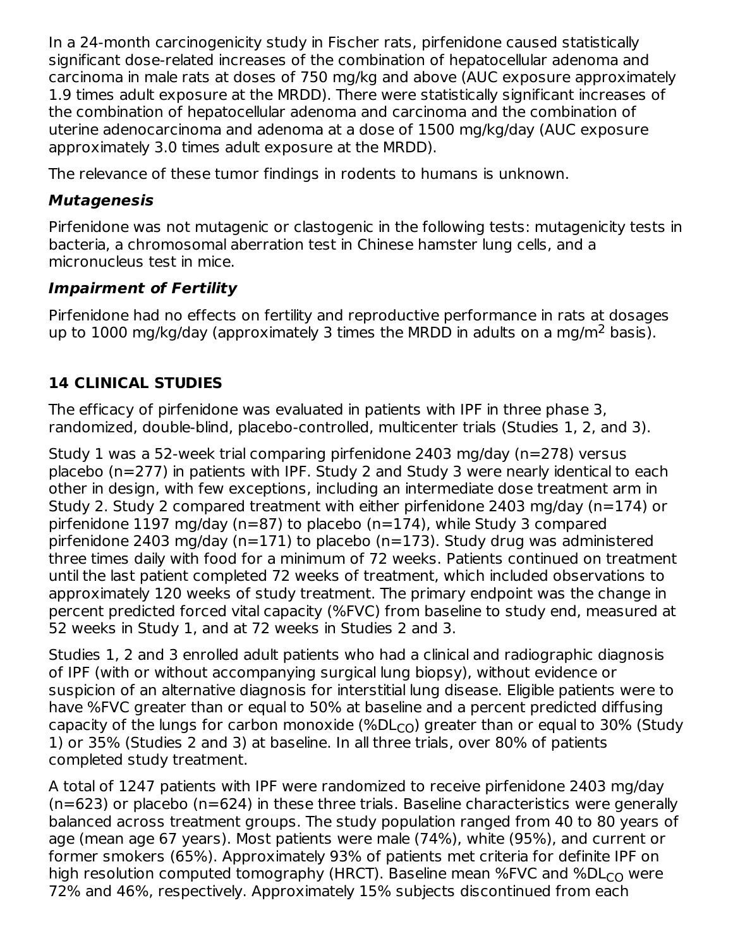In a 24-month carcinogenicity study in Fischer rats, pirfenidone caused statistically significant dose-related increases of the combination of hepatocellular adenoma and carcinoma in male rats at doses of 750 mg/kg and above (AUC exposure approximately 1.9 times adult exposure at the MRDD). There were statistically significant increases of the combination of hepatocellular adenoma and carcinoma and the combination of uterine adenocarcinoma and adenoma at a dose of 1500 mg/kg/day (AUC exposure approximately 3.0 times adult exposure at the MRDD).

The relevance of these tumor findings in rodents to humans is unknown.

## **Mutagenesis**

Pirfenidone was not mutagenic or clastogenic in the following tests: mutagenicity tests in bacteria, a chromosomal aberration test in Chinese hamster lung cells, and a micronucleus test in mice.

## **Impairment of Fertility**

Pirfenidone had no effects on fertility and reproductive performance in rats at dosages up to 1000 mg/kg/day (approximately 3 times the MRDD in adults on a mg/m<sup>2</sup> basis).

# **14 CLINICAL STUDIES**

The efficacy of pirfenidone was evaluated in patients with IPF in three phase 3, randomized, double-blind, placebo-controlled, multicenter trials (Studies 1, 2, and 3).

Study 1 was a 52-week trial comparing pirfenidone 2403 mg/day (n=278) versus placebo (n=277) in patients with IPF. Study 2 and Study 3 were nearly identical to each other in design, with few exceptions, including an intermediate dose treatment arm in Study 2. Study 2 compared treatment with either pirfenidone 2403 mg/day (n=174) or pirfenidone 1197 mg/day (n=87) to placebo (n=174), while Study 3 compared pirfenidone 2403 mg/day (n=171) to placebo (n=173). Study drug was administered three times daily with food for a minimum of 72 weeks. Patients continued on treatment until the last patient completed 72 weeks of treatment, which included observations to approximately 120 weeks of study treatment. The primary endpoint was the change in percent predicted forced vital capacity (%FVC) from baseline to study end, measured at 52 weeks in Study 1, and at 72 weeks in Studies 2 and 3.

Studies 1, 2 and 3 enrolled adult patients who had a clinical and radiographic diagnosis of IPF (with or without accompanying surgical lung biopsy), without evidence or suspicion of an alternative diagnosis for interstitial lung disease. Eligible patients were to have %FVC greater than or equal to 50% at baseline and a percent predicted diffusing capacity of the lungs for carbon monoxide (%DL $_{\rm CO}$ ) greater than or equal to 30% (Study 1) or 35% (Studies 2 and 3) at baseline. In all three trials, over 80% of patients completed study treatment.

A total of 1247 patients with IPF were randomized to receive pirfenidone 2403 mg/day (n=623) or placebo (n=624) in these three trials. Baseline characteristics were generally balanced across treatment groups. The study population ranged from 40 to 80 years of age (mean age 67 years). Most patients were male (74%), white (95%), and current or former smokers (65%). Approximately 93% of patients met criteria for definite IPF on high resolution computed tomography (HRCT). Baseline mean %FVC and %DL $_{\rm CO}$  were 72% and 46%, respectively. Approximately 15% subjects discontinued from each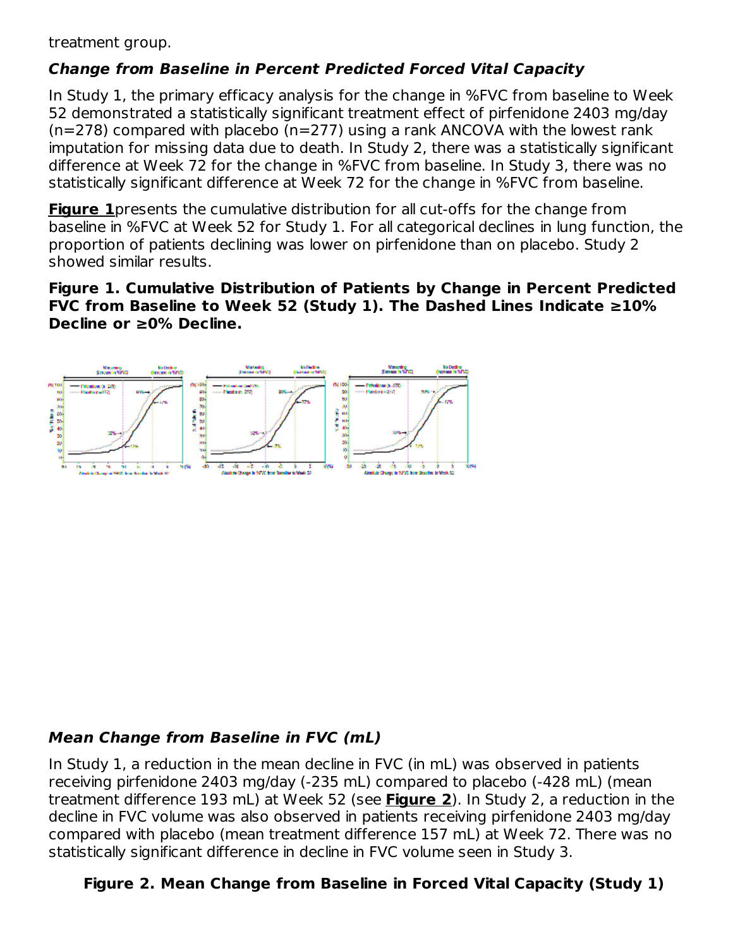treatment group.

## **Change from Baseline in Percent Predicted Forced Vital Capacity**

In Study 1, the primary efficacy analysis for the change in %FVC from baseline to Week 52 demonstrated a statistically significant treatment effect of pirfenidone 2403 mg/day  $(n=278)$  compared with placebo  $(n=277)$  using a rank ANCOVA with the lowest rank imputation for missing data due to death. In Study 2, there was a statistically significant difference at Week 72 for the change in %FVC from baseline. In Study 3, there was no statistically significant difference at Week 72 for the change in %FVC from baseline.

**Figure 1**presents the cumulative distribution for all cut-offs for the change from baseline in %FVC at Week 52 for Study 1. For all categorical declines in lung function, the proportion of patients declining was lower on pirfenidone than on placebo. Study 2 showed similar results.

**Figure 1. Cumulative Distribution of Patients by Change in Percent Predicted FVC from Baseline to Week 52 (Study 1). The Dashed Lines Indicate ≥10% Decline or ≥0% Decline.**

### **Mean Change from Baseline in FVC (mL)**

In Study 1, a reduction in the mean decline in FVC (in mL) was observed in patients receiving pirfenidone 2403 mg/day (-235 mL) compared to placebo (-428 mL) (mean treatment difference 193 mL) at Week 52 (see **Figure 2**). In Study 2, a reduction in the decline in FVC volume was also observed in patients receiving pirfenidone 2403 mg/day compared with placebo (mean treatment difference 157 mL) at Week 72. There was no statistically significant difference in decline in FVC volume seen in Study 3.

## **Figure 2. Mean Change from Baseline in Forced Vital Capacity (Study 1)**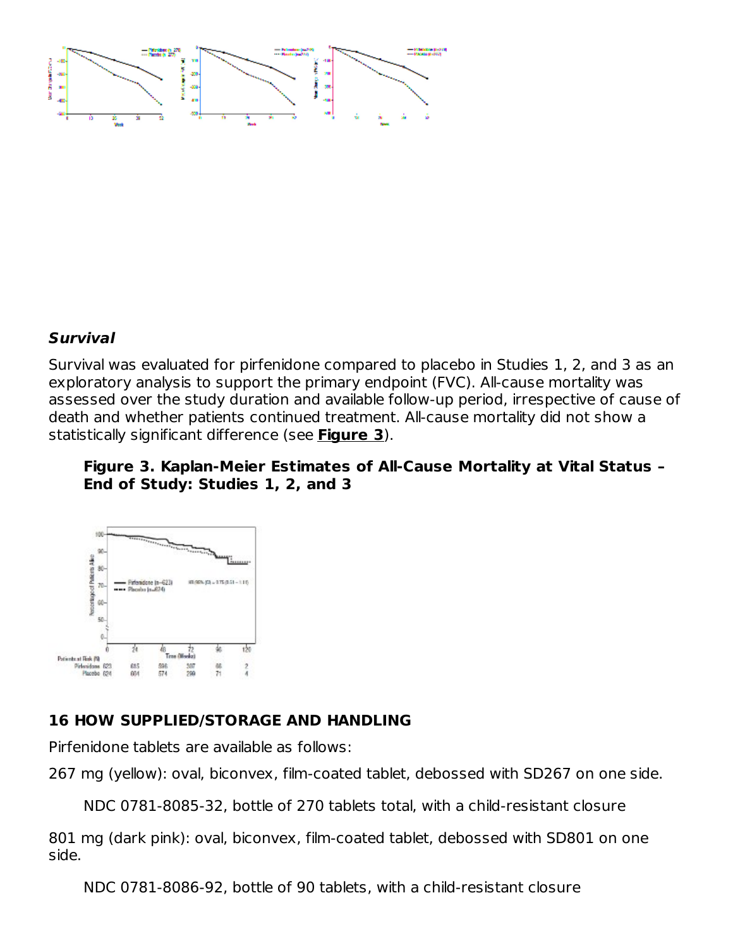#### **Survival**

Survival was evaluated for pirfenidone compared to placebo in Studies 1, 2, and 3 as an exploratory analysis to support the primary endpoint (FVC). All-cause mortality was assessed over the study duration and available follow-up period, irrespective of cause of death and whether patients continued treatment. All-cause mortality did not show a statistically significant difference (see **Figure 3**).

#### **Figure 3. Kaplan-Meier Estimates of All-Cause Mortality at Vital Status – End of Study: Studies 1, 2, and 3**



#### **16 HOW SUPPLIED/STORAGE AND HANDLING**

Pirfenidone tablets are available as follows:

```
267 mg (yellow): oval, biconvex, film-coated tablet, debossed with SD267 on one side.
```
NDC 0781-8085-32, bottle of 270 tablets total, with a child-resistant closure

801 mg (dark pink): oval, biconvex, film-coated tablet, debossed with SD801 on one side.

NDC 0781-8086-92, bottle of 90 tablets, with a child-resistant closure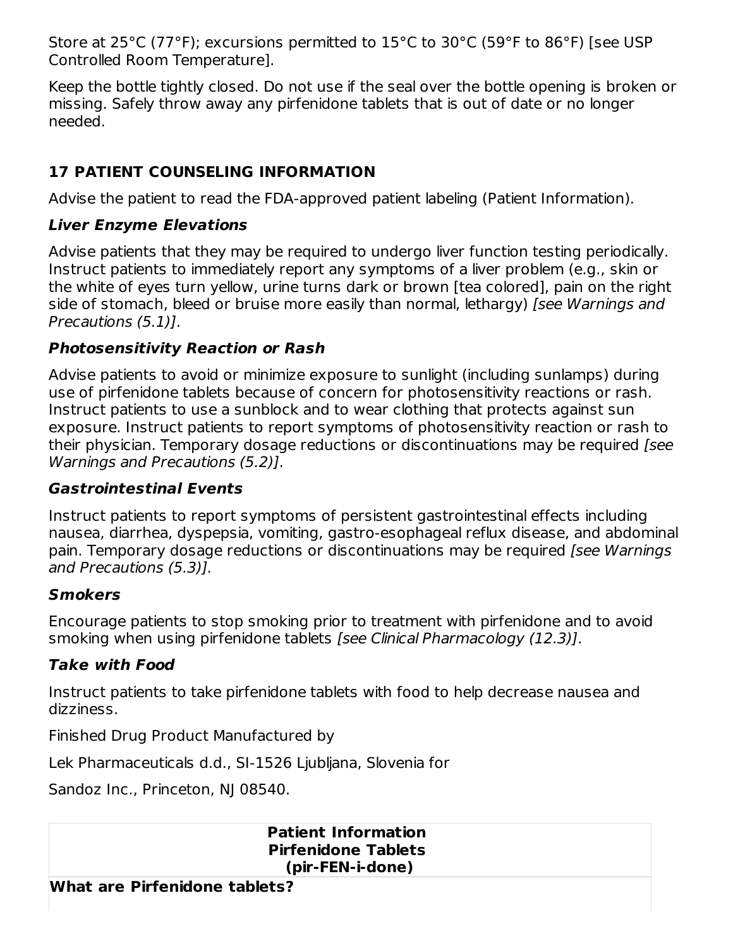Store at 25°C (77°F); excursions permitted to 15°C to 30°C (59°F to 86°F) [see USP Controlled Room Temperature].

Keep the bottle tightly closed. Do not use if the seal over the bottle opening is broken or missing. Safely throw away any pirfenidone tablets that is out of date or no longer needed.

## **17 PATIENT COUNSELING INFORMATION**

Advise the patient to read the FDA-approved patient labeling (Patient Information).

### **Liver Enzyme Elevations**

Advise patients that they may be required to undergo liver function testing periodically. Instruct patients to immediately report any symptoms of a liver problem (e.g., skin or the white of eyes turn yellow, urine turns dark or brown [tea colored], pain on the right side of stomach, bleed or bruise more easily than normal, lethargy) [see Warnings and Precautions (5.1)].

## **Photosensitivity Reaction or Rash**

Advise patients to avoid or minimize exposure to sunlight (including sunlamps) during use of pirfenidone tablets because of concern for photosensitivity reactions or rash. Instruct patients to use a sunblock and to wear clothing that protects against sun exposure. Instruct patients to report symptoms of photosensitivity reaction or rash to their physician. Temporary dosage reductions or discontinuations may be required [see Warnings and Precautions (5.2)].

### **Gastrointestinal Events**

Instruct patients to report symptoms of persistent gastrointestinal effects including nausea, diarrhea, dyspepsia, vomiting, gastro-esophageal reflux disease, and abdominal pain. Temporary dosage reductions or discontinuations may be required [see Warnings] and Precautions (5.3)].

### **Smokers**

Encourage patients to stop smoking prior to treatment with pirfenidone and to avoid smoking when using pirfenidone tablets [see Clinical Pharmacology (12.3)].

### **Take with Food**

Instruct patients to take pirfenidone tablets with food to help decrease nausea and dizziness.

Finished Drug Product Manufactured by

Lek Pharmaceuticals d.d., SI-1526 Ljubljana, Slovenia for

Sandoz Inc., Princeton, NJ 08540.

#### **Patient Information Pirfenidone Tablets (pir-FEN-i-done)**

#### **What are Pirfenidone tablets?**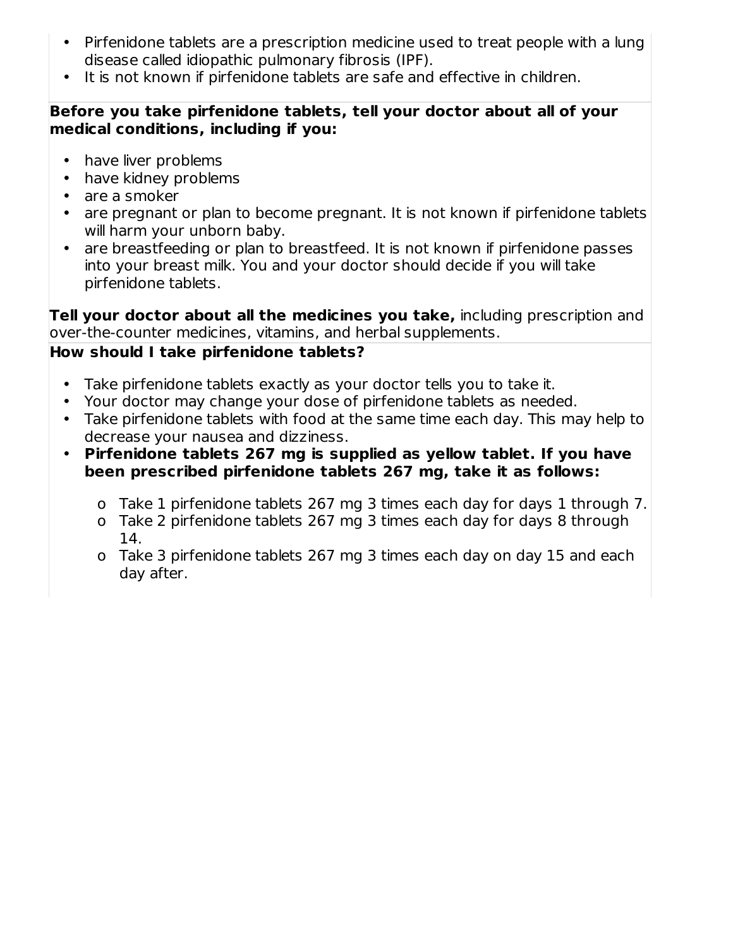- Pirfenidone tablets are a prescription medicine used to treat people with a lung disease called idiopathic pulmonary fibrosis (IPF).
- It is not known if pirfenidone tablets are safe and effective in children.

#### **Before you take pirfenidone tablets, tell your doctor about all of your medical conditions, including if you:**

- have liver problems
- have kidney problems
- are a smoker
- are pregnant or plan to become pregnant. It is not known if pirfenidone tablets will harm your unborn baby.
- are breastfeeding or plan to breastfeed. It is not known if pirfenidone passes into your breast milk. You and your doctor should decide if you will take pirfenidone tablets.

**Tell your doctor about all the medicines you take,** including prescription and over-the-counter medicines, vitamins, and herbal supplements.

## **How should I take pirfenidone tablets?**

- Take pirfenidone tablets exactly as your doctor tells you to take it.
- Your doctor may change your dose of pirfenidone tablets as needed.
- Take pirfenidone tablets with food at the same time each day. This may help to decrease your nausea and dizziness.
- **Pirfenidone tablets 267 mg is supplied as yellow tablet. If you have been prescribed pirfenidone tablets 267 mg, take it as follows:**
	- o Take 1 pirfenidone tablets 267 mg 3 times each day for days 1 through 7.
	- o Take 2 pirfenidone tablets 267 mg 3 times each day for days 8 through 14.
	- o Take 3 pirfenidone tablets 267 mg 3 times each day on day 15 and each day after.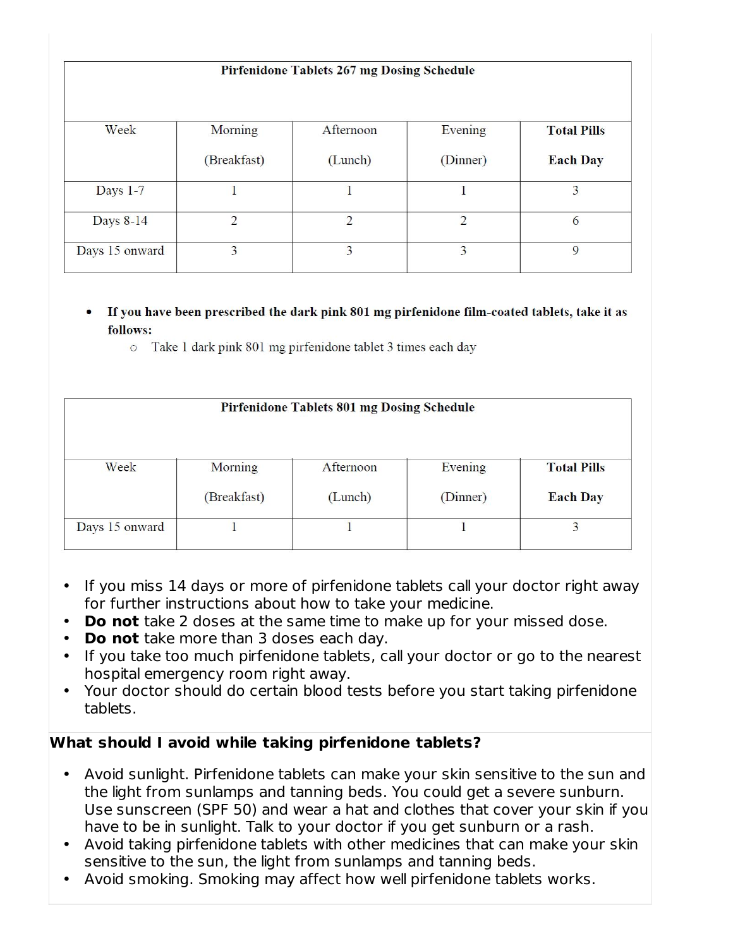#### **Pirfenidone Tablets 267 mg Dosing Schedule**

| Week           | Morning     | Afternoon | Evening  | <b>Total Pills</b> |
|----------------|-------------|-----------|----------|--------------------|
|                | (Breakfast) | (Lunch)   | (Dinner) | <b>Each Day</b>    |
| Days 1-7       |             |           |          |                    |
| Days 8-14      | ∍           | ∍         |          | 6                  |
| Days 15 onward | 3           | 3         |          |                    |

- If you have been prescribed the dark pink 801 mg pirfenidone film-coated tablets, take it as follows:
	- o Take 1 dark pink 801 mg pirfenidone tablet 3 times each day

| Pirfenidone Tablets 801 mg Dosing Schedule |             |           |          |                    |  |  |  |
|--------------------------------------------|-------------|-----------|----------|--------------------|--|--|--|
| Week                                       | Morning     | Afternoon | Evening  | <b>Total Pills</b> |  |  |  |
|                                            | (Breakfast) | (Lunch)   | (Dinner) | <b>Each Day</b>    |  |  |  |
| Days 15 onward                             |             |           |          | 3                  |  |  |  |

- If you miss 14 days or more of pirfenidone tablets call your doctor right away for further instructions about how to take your medicine.
- **Do not** take 2 doses at the same time to make up for your missed dose.
- **Do not** take more than 3 doses each day.
- If you take too much pirfenidone tablets, call your doctor or go to the nearest hospital emergency room right away.
- Your doctor should do certain blood tests before you start taking pirfenidone tablets.

### **What should I avoid while taking pirfenidone tablets?**

- Avoid sunlight. Pirfenidone tablets can make your skin sensitive to the sun and the light from sunlamps and tanning beds. You could get a severe sunburn. Use sunscreen (SPF 50) and wear a hat and clothes that cover your skin if you have to be in sunlight. Talk to your doctor if you get sunburn or a rash.
- Avoid taking pirfenidone tablets with other medicines that can make your skin sensitive to the sun, the light from sunlamps and tanning beds.
- Avoid smoking. Smoking may affect how well pirfenidone tablets works.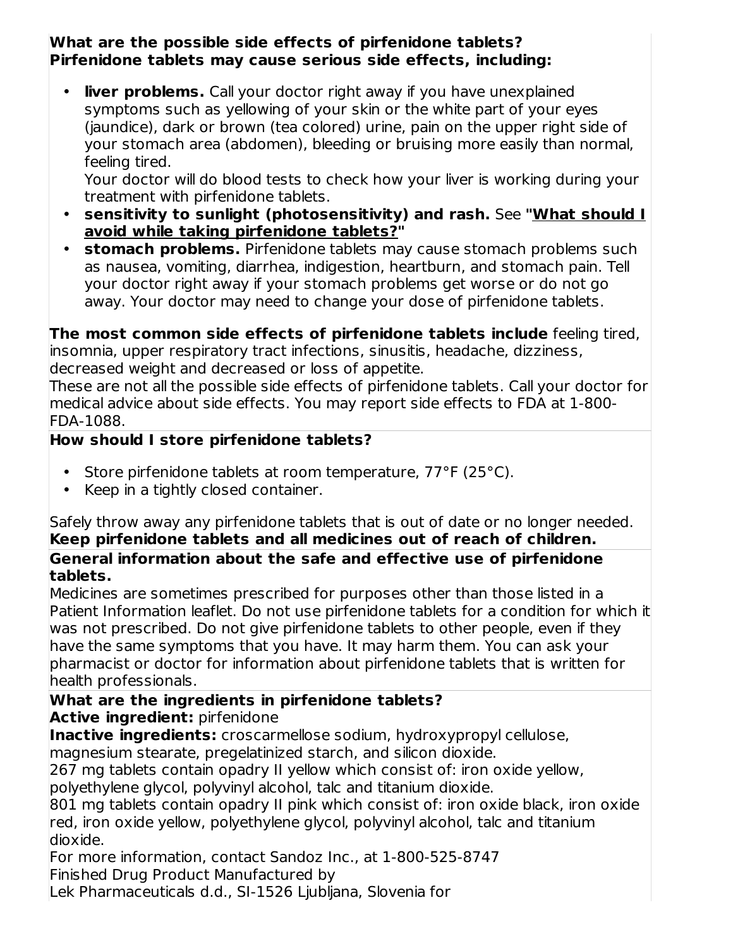#### **What are the possible side effects of pirfenidone tablets? Pirfenidone tablets may cause serious side effects, including:**

• **liver problems.** Call your doctor right away if you have unexplained symptoms such as yellowing of your skin or the white part of your eyes (jaundice), dark or brown (tea colored) urine, pain on the upper right side of your stomach area (abdomen), bleeding or bruising more easily than normal, feeling tired.

Your doctor will do blood tests to check how your liver is working during your treatment with pirfenidone tablets.

- **sensitivity to sunlight (photosensitivity) and rash.** See **"What should I avoid while taking pirfenidone tablets?"**
- **stomach problems.** Pirfenidone tablets may cause stomach problems such as nausea, vomiting, diarrhea, indigestion, heartburn, and stomach pain. Tell your doctor right away if your stomach problems get worse or do not go away. Your doctor may need to change your dose of pirfenidone tablets.

**The most common side effects of pirfenidone tablets include** feeling tired, insomnia, upper respiratory tract infections, sinusitis, headache, dizziness, decreased weight and decreased or loss of appetite.

These are not all the possible side effects of pirfenidone tablets. Call your doctor for medical advice about side effects. You may report side effects to FDA at 1-800- FDA-1088.

## **How should I store pirfenidone tablets?**

- Store pirfenidone tablets at room temperature, 77°F (25°C).
- Keep in a tightly closed container.

Safely throw away any pirfenidone tablets that is out of date or no longer needed. **Keep pirfenidone tablets and all medicines out of reach of children. General information about the safe and effective use of pirfenidone tablets.**

Medicines are sometimes prescribed for purposes other than those listed in a Patient Information leaflet. Do not use pirfenidone tablets for a condition for which it was not prescribed. Do not give pirfenidone tablets to other people, even if they have the same symptoms that you have. It may harm them. You can ask your pharmacist or doctor for information about pirfenidone tablets that is written for health professionals.

# **What are the ingredients in pirfenidone tablets?**

**Active ingredient:** pirfenidone

**Inactive ingredients:** croscarmellose sodium, hydroxypropyl cellulose, magnesium stearate, pregelatinized starch, and silicon dioxide.

267 mg tablets contain opadry II yellow which consist of: iron oxide yellow, polyethylene glycol, polyvinyl alcohol, talc and titanium dioxide.

801 mg tablets contain opadry II pink which consist of: iron oxide black, iron oxide red, iron oxide yellow, polyethylene glycol, polyvinyl alcohol, talc and titanium dioxide.

For more information, contact Sandoz Inc., at 1-800-525-8747 Finished Drug Product Manufactured by

Lek Pharmaceuticals d.d., SI-1526 Ljubljana, Slovenia for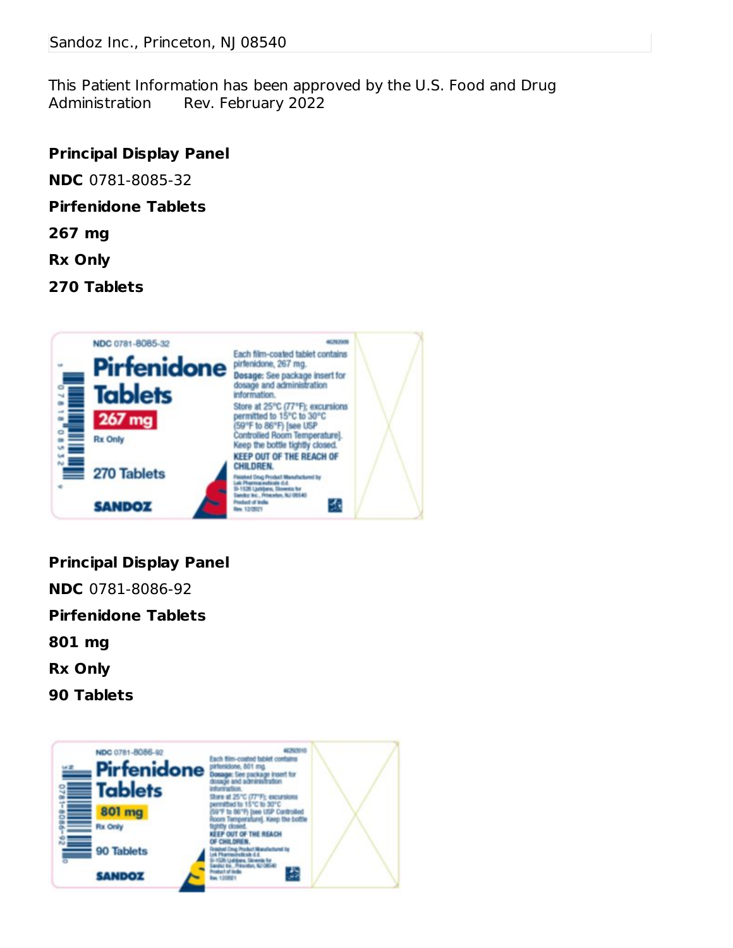This Patient Information has been approved by the U.S. Food and Drug Administration Rev. February 2022

#### **Principal Display Panel**

**NDC** 0781-8085-32

#### **Pirfenidone Tablets**

- **267 mg**
- **Rx Only**
- **270 Tablets**



### **Principal Display Panel**

**NDC** 0781-8086-92

**Pirfenidone Tablets**

- **801 mg**
- **Rx Only**
- **90 Tablets**

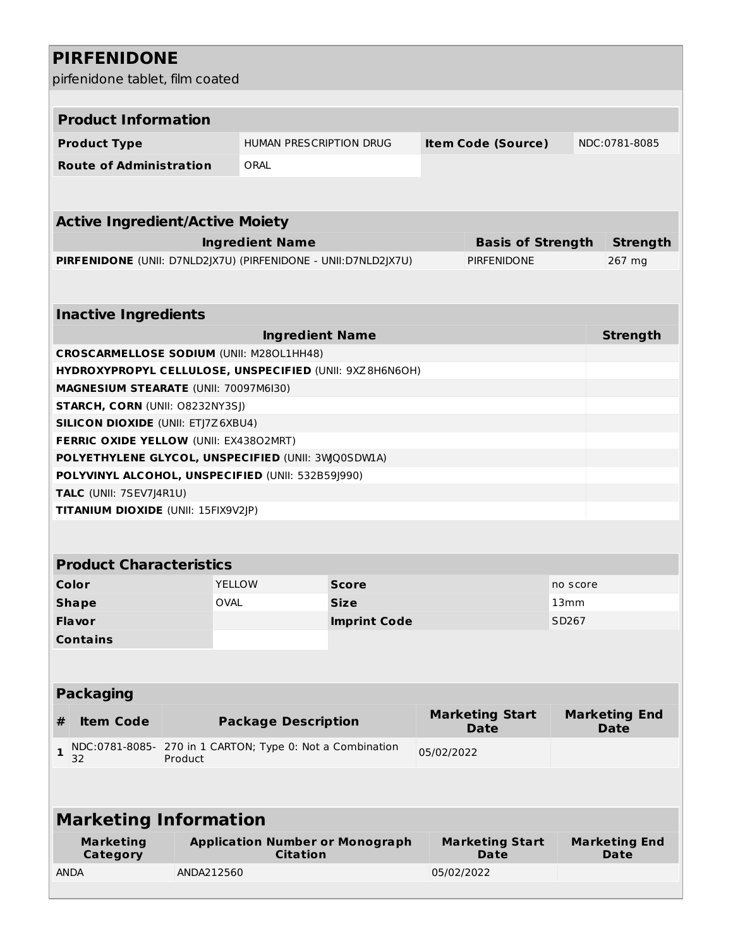| <b>PIRFENIDONE</b>                                             |             |                                                           |                     |            |                                       |          |                                     |
|----------------------------------------------------------------|-------------|-----------------------------------------------------------|---------------------|------------|---------------------------------------|----------|-------------------------------------|
| pirfenidone tablet, film coated                                |             |                                                           |                     |            |                                       |          |                                     |
|                                                                |             |                                                           |                     |            |                                       |          |                                     |
| <b>Product Information</b>                                     |             |                                                           |                     |            |                                       |          |                                     |
| <b>Product Type</b>                                            |             | <b>HUMAN PRESCRIPTION DRUG</b>                            |                     |            | <b>Item Code (Source)</b>             |          | NDC:0781-8085                       |
| <b>Route of Administration</b>                                 |             | ORAL                                                      |                     |            |                                       |          |                                     |
|                                                                |             |                                                           |                     |            |                                       |          |                                     |
| <b>Active Ingredient/Active Moiety</b>                         |             |                                                           |                     |            |                                       |          |                                     |
|                                                                |             | <b>Ingredient Name</b>                                    |                     |            | <b>Basis of Strength</b>              |          | <b>Strength</b>                     |
| PIRFENIDONE (UNII: D7NLD2JX7U) (PIRFENIDONE - UNII:D7NLD2JX7U) |             |                                                           |                     |            | <b>PIRFENIDONE</b>                    |          | 267 mg                              |
|                                                                |             |                                                           |                     |            |                                       |          |                                     |
| <b>Inactive Ingredients</b>                                    |             |                                                           |                     |            |                                       |          |                                     |
|                                                                |             | <b>Ingredient Name</b>                                    |                     |            |                                       |          | <b>Strength</b>                     |
| <b>CROSCARMELLOSE SODIUM (UNII: M280L1HH48)</b>                |             |                                                           |                     |            |                                       |          |                                     |
| HYDROXYPROPYL CELLULOSE, UNSPECIFIED (UNII: 9XZ8H6N6OH)        |             |                                                           |                     |            |                                       |          |                                     |
| MAGNESIUM STEARATE (UNII: 70097M6I30)                          |             |                                                           |                     |            |                                       |          |                                     |
| STARCH, CORN (UNII: 08232NY3SJ)                                |             |                                                           |                     |            |                                       |          |                                     |
| <b>SILICON DIOXIDE (UNII: ETJ7Z6XBU4)</b>                      |             |                                                           |                     |            |                                       |          |                                     |
| FERRIC OXIDE YELLOW (UNII: EX43802MRT)                         |             |                                                           |                     |            |                                       |          |                                     |
| POLYETHYLENE GLYCOL, UNSPECIFIED (UNII: 3WQ0SDWLA)             |             |                                                           |                     |            |                                       |          |                                     |
| POLYVINYL ALCOHOL, UNSPECIFIED (UNII: 532B59J990)              |             |                                                           |                     |            |                                       |          |                                     |
| TALC (UNII: 7SEV7J4R1U)<br>TITANIUM DIOXIDE (UNII: 15FIX9V2JP) |             |                                                           |                     |            |                                       |          |                                     |
|                                                                |             |                                                           |                     |            |                                       |          |                                     |
|                                                                |             |                                                           |                     |            |                                       |          |                                     |
| <b>Product Characteristics</b>                                 |             |                                                           |                     |            |                                       |          |                                     |
| <b>Color</b>                                                   |             | <b>YELLOW</b>                                             | <b>Score</b>        |            |                                       | no score |                                     |
| <b>Shape</b>                                                   | <b>OVAL</b> |                                                           | <b>Size</b>         |            |                                       | 13mm     |                                     |
| Flavor                                                         |             |                                                           | <b>Imprint Code</b> |            |                                       | SD267    |                                     |
| <b>Contains</b>                                                |             |                                                           |                     |            |                                       |          |                                     |
|                                                                |             |                                                           |                     |            |                                       |          |                                     |
| <b>Packaging</b>                                               |             |                                                           |                     |            |                                       |          |                                     |
| <b>Item Code</b><br>#                                          |             | <b>Package Description</b>                                |                     |            | <b>Marketing Start</b><br><b>Date</b> |          | <b>Marketing End</b><br><b>Date</b> |
| NDC:0781-8085-<br>$\mathbf{1}$<br>32                           | Product     | 270 in 1 CARTON; Type 0: Not a Combination                |                     | 05/02/2022 |                                       |          |                                     |
|                                                                |             |                                                           |                     |            |                                       |          |                                     |
| <b>Marketing Information</b>                                   |             |                                                           |                     |            |                                       |          |                                     |
| <b>Marketing</b>                                               |             | <b>Application Number or Monograph</b><br><b>Citation</b> |                     |            | <b>Marketing Start</b><br><b>Date</b> |          | <b>Marketing End</b><br><b>Date</b> |
| Category<br><b>ANDA</b>                                        | ANDA212560  |                                                           |                     | 05/02/2022 |                                       |          |                                     |
|                                                                |             |                                                           |                     |            |                                       |          |                                     |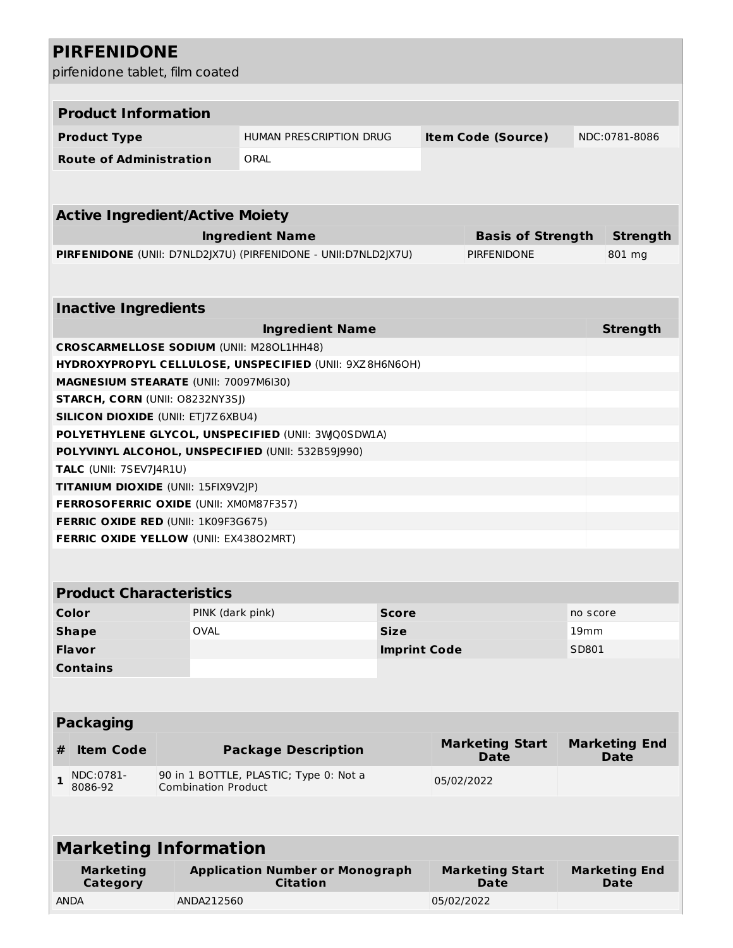# **PIRFENIDONE**

pirfenidone tablet, film coated

|              |                                                                             | pirfenidone tablet, film coated |                                                                |                     |            |                          |          |                      |  |
|--------------|-----------------------------------------------------------------------------|---------------------------------|----------------------------------------------------------------|---------------------|------------|--------------------------|----------|----------------------|--|
|              |                                                                             |                                 |                                                                |                     |            |                          |          |                      |  |
|              | <b>Product Information</b>                                                  |                                 |                                                                |                     |            |                          |          |                      |  |
|              | HUMAN PRESCRIPTION DRUG<br><b>Item Code (Source)</b><br><b>Product Type</b> |                                 |                                                                | NDC:0781-8086       |            |                          |          |                      |  |
|              | <b>Route of Administration</b>                                              |                                 | ORAL                                                           |                     |            |                          |          |                      |  |
|              |                                                                             |                                 |                                                                |                     |            |                          |          |                      |  |
|              |                                                                             |                                 |                                                                |                     |            |                          |          |                      |  |
|              | <b>Active Ingredient/Active Moiety</b>                                      |                                 |                                                                |                     |            |                          |          |                      |  |
|              |                                                                             |                                 | <b>Ingredient Name</b>                                         |                     |            | <b>Basis of Strength</b> |          | <b>Strength</b>      |  |
|              |                                                                             |                                 | PIRFENIDONE (UNII: D7NLD2JX7U) (PIRFENIDONE - UNII:D7NLD2JX7U) |                     |            | <b>PIRFENIDONE</b>       |          | 801 mg               |  |
|              |                                                                             |                                 |                                                                |                     |            |                          |          |                      |  |
|              |                                                                             |                                 |                                                                |                     |            |                          |          |                      |  |
|              | <b>Inactive Ingredients</b>                                                 |                                 |                                                                |                     |            |                          |          |                      |  |
|              |                                                                             |                                 | <b>Ingredient Name</b>                                         |                     |            |                          |          | <b>Strength</b>      |  |
|              |                                                                             |                                 | <b>CROSCARMELLOSE SODIUM (UNII: M280L1HH48)</b>                |                     |            |                          |          |                      |  |
|              |                                                                             |                                 | HYDROXYPROPYL CELLULOSE, UNSPECIFIED (UNII: 9XZ8H6N6OH)        |                     |            |                          |          |                      |  |
|              | MAGNESIUM STEARATE (UNII: 70097M6I30)                                       |                                 |                                                                |                     |            |                          |          |                      |  |
|              | <b>STARCH, CORN (UNII: O8232NY3SJ)</b>                                      |                                 |                                                                |                     |            |                          |          |                      |  |
|              | <b>SILICON DIOXIDE (UNII: ETJ7Z6XBU4)</b>                                   |                                 |                                                                |                     |            |                          |          |                      |  |
|              |                                                                             |                                 | POLYETHYLENE GLYCOL, UNSPECIFIED (UNII: 3WQ0SDWIA)             |                     |            |                          |          |                      |  |
|              |                                                                             |                                 | POLYVINYL ALCOHOL, UNSPECIFIED (UNII: 532B59J990)              |                     |            |                          |          |                      |  |
|              | TALC (UNII: 7SEV7J4R1U)                                                     |                                 |                                                                |                     |            |                          |          |                      |  |
|              | TITANIUM DIOXIDE (UNII: 15FIX9V2JP)                                         |                                 |                                                                |                     |            |                          |          |                      |  |
|              | FERROSOFERRIC OXIDE (UNII: XM0M87F357)                                      |                                 |                                                                |                     |            |                          |          |                      |  |
|              | <b>FERRIC OXIDE RED (UNII: 1K09F3G675)</b>                                  |                                 |                                                                |                     |            |                          |          |                      |  |
|              | FERRIC OXIDE YELLOW (UNII: EX43802MRT)                                      |                                 |                                                                |                     |            |                          |          |                      |  |
|              |                                                                             |                                 |                                                                |                     |            |                          |          |                      |  |
|              | <b>Product Characteristics</b>                                              |                                 |                                                                |                     |            |                          |          |                      |  |
|              | <b>Color</b>                                                                | PINK (dark pink)                |                                                                | <b>Score</b>        |            |                          | no score |                      |  |
|              | <b>Shape</b>                                                                | <b>OVAL</b>                     |                                                                | <b>Size</b>         |            |                          | 19mm     |                      |  |
|              | Flavor                                                                      |                                 |                                                                | <b>Imprint Code</b> |            |                          | SD801    |                      |  |
|              | <b>Contains</b>                                                             |                                 |                                                                |                     |            |                          |          |                      |  |
|              |                                                                             |                                 |                                                                |                     |            |                          |          |                      |  |
|              |                                                                             |                                 |                                                                |                     |            |                          |          |                      |  |
|              | <b>Packaging</b>                                                            |                                 |                                                                |                     |            |                          |          |                      |  |
|              |                                                                             |                                 |                                                                |                     |            | <b>Marketing Start</b>   |          | <b>Marketing End</b> |  |
| #            | <b>Item Code</b>                                                            |                                 | <b>Package Description</b>                                     |                     |            | <b>Date</b>              |          | <b>Date</b>          |  |
| $\mathbf{1}$ | NDC:0781-<br>8086-92                                                        | <b>Combination Product</b>      | 90 in 1 BOTTLE, PLASTIC; Type 0: Not a                         |                     | 05/02/2022 |                          |          |                      |  |
|              |                                                                             |                                 |                                                                |                     |            |                          |          |                      |  |
|              | <b>Marketing Information</b>                                                |                                 |                                                                |                     |            |                          |          |                      |  |
|              | <b>Marketing</b>                                                            |                                 | <b>Application Number or Monograph</b>                         |                     |            | <b>Marketing Start</b>   |          | <b>Marketing End</b> |  |
|              | Category                                                                    |                                 | <b>Citation</b>                                                |                     |            | <b>Date</b>              |          | <b>Date</b>          |  |
| <b>ANDA</b>  |                                                                             | ANDA212560                      |                                                                |                     | 05/02/2022 |                          |          |                      |  |